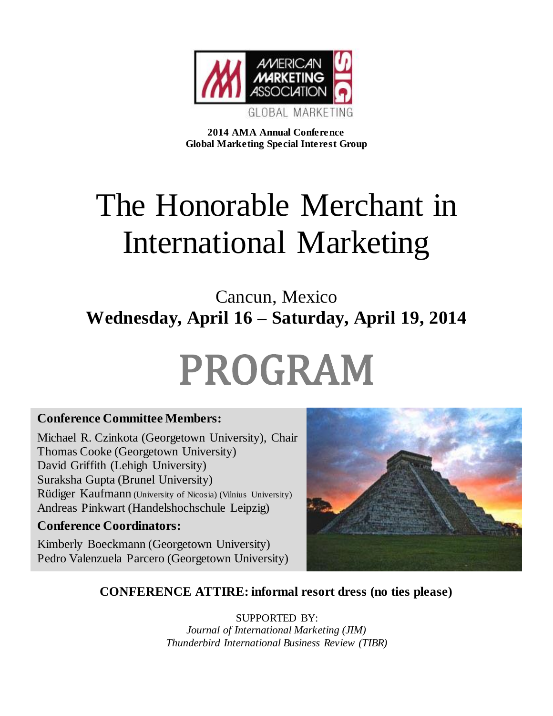

**2014 AMA Annual Conference Global Marketing Special Interest Group** 

# The Honorable Merchant in International Marketing

Cancun, Mexico **Wednesday, April 16 – Saturday, April 19, 2014** 

# PROGRAM

# **Conference Committee Members:**

Michael R. Czinkota (Georgetown University), Chair Thomas Cooke (Georgetown University) David Griffith (Lehigh University) Suraksha Gupta (Brunel University) Rüdiger Kaufmann (University of Nicosia) (Vilnius University) Andreas Pinkwart (Handelshochschule Leipzig)

# **Conference Coordinators:**

Kimberly Boeckmann (Georgetown University) Pedro Valenzuela Parcero (Georgetown University)



# **CONFERENCE ATTIRE: informal resort dress (no ties please)**

SUPPORTED BY: *Journal of International Marketing (JIM) Thunderbird International Business Review (TIBR)*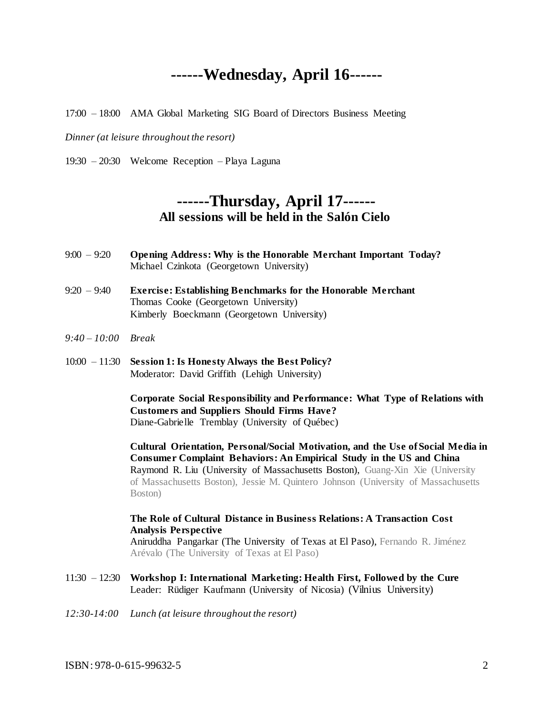# **------Wednesday, April 16------**

17:00 – 18:00 AMA Global Marketing SIG Board of Directors Business Meeting

*Dinner (at leisure throughout the resort)*

19:30 – 20:30 Welcome Reception – Playa Laguna

# **------Thursday, April 17------ All sessions will be held in the Salón Cielo**

- 9:00 9:20 **Opening Address: Why is the Honorable Merchant Important Today?** Michael Czinkota (Georgetown University)
- 9:20 9:40 **Exercise: Establishing Benchmarks for the Honorable Merchant** Thomas Cooke (Georgetown University) Kimberly Boeckmann (Georgetown University)
- *9:40 – 10:00 Break*
- 10:00 11:30 **Session 1: Is Honesty Always the Best Policy?**  Moderator: David Griffith (Lehigh University)

**Corporate Social Responsibility and Performance: What Type of Relations with Customers and Suppliers Should Firms Have?** Diane-Gabrielle Tremblay (University of Québec)

**Cultural Orientation, Personal/Social Motivation, and the Use of Social Media in Consumer Complaint Behaviors: An Empirical Study in the US and China** Raymond R. Liu (University of Massachusetts Boston), Guang-Xin Xie (University of Massachusetts Boston), Jessie M. Quintero Johnson (University of Massachusetts Boston)

#### **The Role of Cultural Distance in Business Relations: A Transaction Cost Analysis Perspective**

Aniruddha Pangarkar (The University of Texas at El Paso), Fernando R. Jiménez Arévalo (The University of Texas at El Paso)

- 11:30 12:30 **Workshop I: International Marketing: Health First, Followed by the Cure** Leader: Rüdiger Kaufmann (University of Nicosia) (Vilnius University)
- *12:30-14:00 Lunch (at leisure throughout the resort)*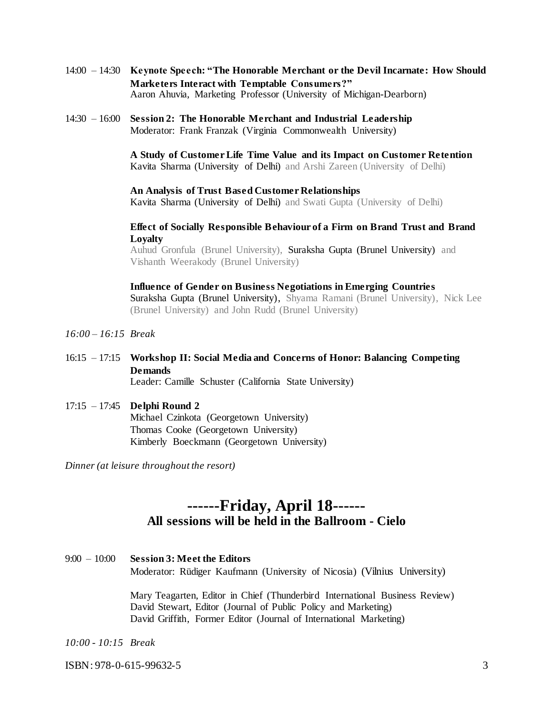- 14:00 14:30 **Keynote Speech: "The Honorable Merchant or the Devil Incarnate: How Should Marketers Interact with Temptable Consumers?"** Aaron Ahuvia, Marketing Professor (University of Michigan-Dearborn)
- 14:30 16:00 **Session 2: The Honorable Merchant and Industrial Leadership** Moderator: Frank Franzak (Virginia Commonwealth University)

**A Study of Customer Life Time Value and its Impact on Customer Retention** Kavita Sharma (University of Delhi) and Arshi Zareen (University of Delhi)

**An Analysis of Trust Based Customer Relationships**

Kavita Sharma (University of Delhi) and Swati Gupta (University of Delhi)

**Effect of Socially Responsible Behaviour of a Firm on Brand Trust and Brand Loyalty**

Auhud Gronfula (Brunel University), Suraksha Gupta (Brunel University) and Vishanth Weerakody (Brunel University)

**Influence of Gender on Business Negotiations in Emerging Countries** Suraksha Gupta (Brunel University), Shyama Ramani (Brunel University), Nick Lee (Brunel University) and John Rudd (Brunel University)

- *16:00 – 16:15 Break*
- 16:15 17:15 **Workshop II: Social Media and Concerns of Honor: Balancing Competing Demands** Leader: Camille Schuster (California State University)

#### 17:15 – 17:45 **Delphi Round 2** Michael Czinkota (Georgetown University) Thomas Cooke (Georgetown University) Kimberly Boeckmann (Georgetown University)

*Dinner (at leisure throughout the resort)*

# **------Friday, April 18------ All sessions will be held in the Ballroom - Cielo**

#### 9:00 – 10:00 **Session 3: Meet the Editors**

Moderator: Rüdiger Kaufmann (University of Nicosia) (Vilnius University)

Mary Teagarten, Editor in Chief (Thunderbird International Business Review) David Stewart, Editor (Journal of Public Policy and Marketing) David Griffith, Former Editor (Journal of International Marketing)

*10:00 - 10:15 Break* 

ISBN: 978-0-615-99632-5 3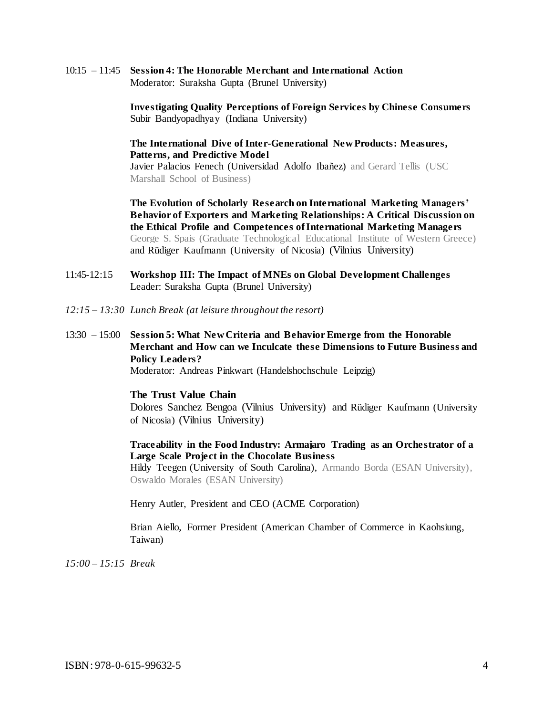10:15 – 11:45 **Session 4: The Honorable Merchant and International Action** Moderator: Suraksha Gupta (Brunel University)

> **Investigating Quality Perceptions of Foreign Services by Chinese Consumers** Subir Bandyopadhyay (Indiana University)

**The International Dive of Inter-Generational New Products: Measures, Patterns, and Predictive Model**

Javier Palacios Fenech (Universidad Adolfo Ibañez) and Gerard Tellis (USC Marshall School of Business)

**The Evolution of Scholarly Research on International Marketing Managers' Behavior of Exporters and Marketing Relationships: A Critical Discussion on the Ethical Profile and Competences of International Marketing Managers** George S. Spais (Graduate Technological Educational Institute of Western Greece) and Rüdiger Kaufmann (University of Nicosia) (Vilnius University)

- 11:45-12:15 **Workshop III: The Impact of MNEs on Global Development Challenges** Leader: Suraksha Gupta (Brunel University)
- *12:15 – 13:30 Lunch Break (at leisure throughout the resort)*
- 13:30 15:00 **Session 5: What New Criteria and Behavior Emerge from the Honorable Merchant and How can we Inculcate these Dimensions to Future Business and Policy Leaders?** Moderator: Andreas Pinkwart (Handelshochschule Leipzig)

#### **The Trust Value Chain**

Dolores Sanchez Bengoa (Vilnius University) and Rüdiger Kaufmann (University of Nicosia) (Vilnius University)

**Traceability in the Food Industry: Armajaro Trading as an Orchestrator of a Large Scale Project in the Chocolate Business** Hildy Teegen (University of South Carolina), Armando Borda (ESAN University),

Oswaldo Morales (ESAN University)

Henry Autler, President and CEO (ACME Corporation)

Brian Aiello, Former President (American Chamber of Commerce in Kaohsiung, Taiwan)

*15:00 – 15:15 Break*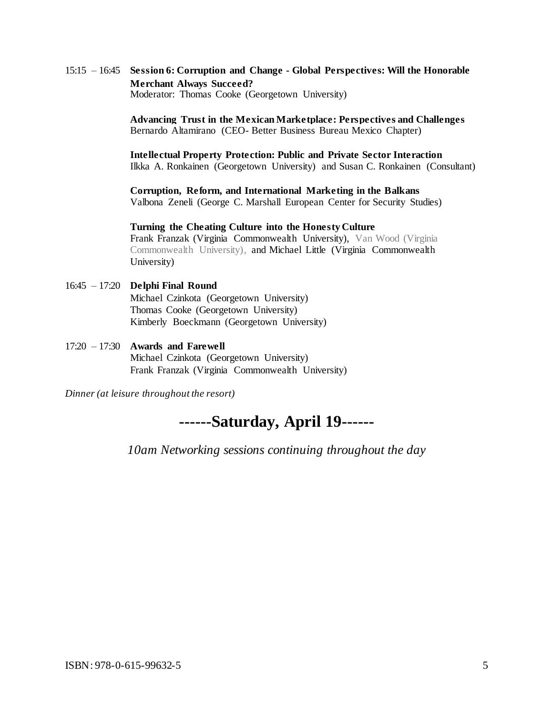15:15 – 16:45 **Session 6: Corruption and Change - Global Perspectives: Will the Honorable Merchant Always Succeed?** Moderator: Thomas Cooke (Georgetown University)

> **Advancing Trust in the Mexican Marketplace: Perspectives and Challenges** Bernardo Altamirano (CEO- Better Business Bureau Mexico Chapter)

**Intellectual Property Protection: Public and Private Sector Interaction**  Ilkka A. Ronkainen (Georgetown University) and Susan C. Ronkainen (Consultant)

**Corruption, Reform, and International Marketing in the Balkans** Valbona Zeneli (George C. Marshall European Center for Security Studies)

**Turning the Cheating Culture into the Honesty Culture**

Frank Franzak (Virginia Commonwealth University), Van Wood (Virginia Commonwealth University), and Michael Little (Virginia Commonwealth University)

- 16:45 17:20 **Delphi Final Round** Michael Czinkota (Georgetown University) Thomas Cooke (Georgetown University) Kimberly Boeckmann (Georgetown University)
- 17:20 17:30 **Awards and Farewell** Michael Czinkota (Georgetown University) Frank Franzak (Virginia Commonwealth University)

*Dinner (at leisure throughout the resort)*

# **------Saturday, April 19------**

*10am Networking sessions continuing throughout the day*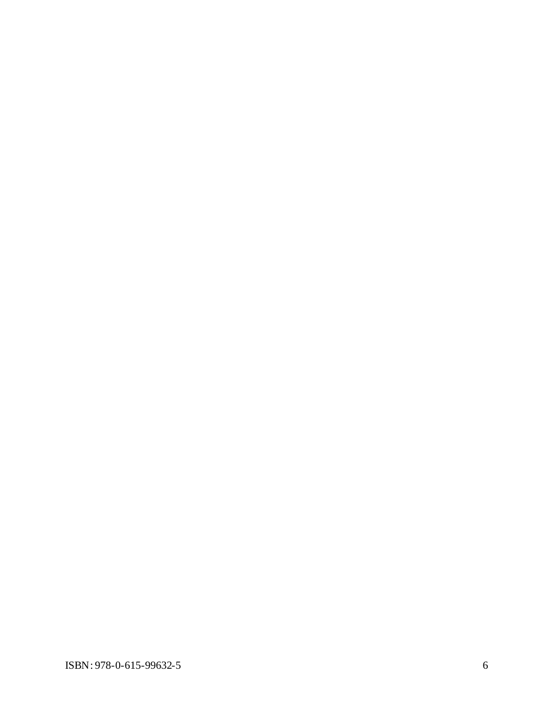ISBN: 978-0-615-99632-5 6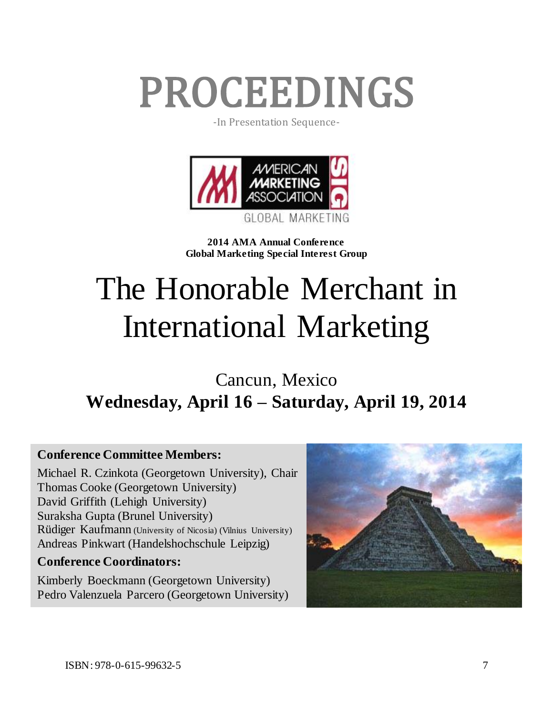# PROCEEDINGS

-In Presentation Sequence-



**2014 AMA Annual Conference Global Marketing Special Interest Group** 

# The Honorable Merchant in International Marketing

# Cancun, Mexico **Wednesday, April 16 – Saturday, April 19, 2014**

# **Conference Committee Members:**

Michael R. Czinkota (Georgetown University), Chair Thomas Cooke (Georgetown University) David Griffith (Lehigh University) Suraksha Gupta (Brunel University) Rüdiger Kaufmann (University of Nicosia) (Vilnius University) Andreas Pinkwart (Handelshochschule Leipzig)

# **Conference Coordinators:**

Kimberly Boeckmann (Georgetown University) Pedro Valenzuela Parcero (Georgetown University)

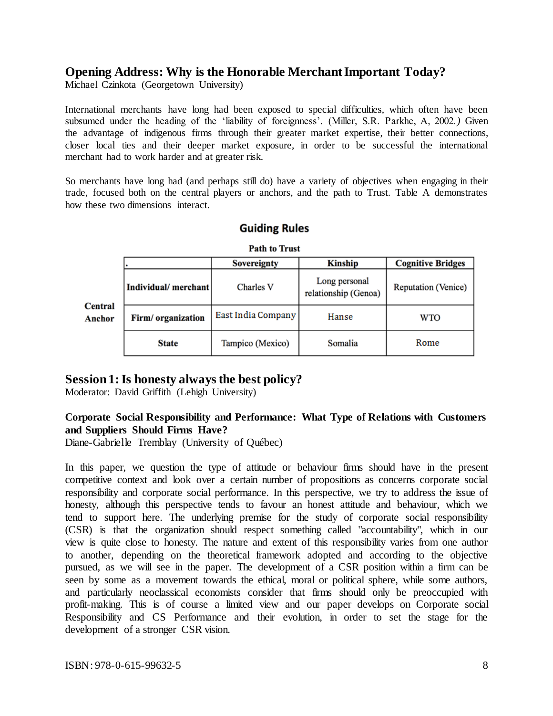# **Opening Address: Why is the Honorable Merchant Important Today?**

Michael Czinkota (Georgetown University)

International merchants have long had been exposed to special difficulties, which often have been subsumed under the heading of the 'liability of foreignness'. (Miller, S.R. Parkhe, A, 2002.*)* Given the advantage of indigenous firms through their greater market expertise, their better connections, closer local ties and their deeper market exposure, in order to be successful the international merchant had to work harder and at greater risk.

So merchants have long had (and perhaps still do) have a variety of objectives when engaging in their trade, focused both on the central players or anchors, and the path to Trust. Table A demonstrates how these two dimensions interact.

|                   |                     | Sovereignty        | Kinship                               | <b>Cognitive Bridges</b> |
|-------------------|---------------------|--------------------|---------------------------------------|--------------------------|
| Central<br>Anchor | Individual/merchant | Charles V          | Long personal<br>relationship (Genoa) | Reputation (Venice)      |
|                   | Firm/organization   | East India Company | Hanse                                 | <b>WTO</b>               |
|                   | <b>State</b>        | Tampico (Mexico)   | Somalia                               | Rome                     |

#### **Guiding Rules**

**Path to Trust** 

#### **Session 1: Is honesty always the best policy?**

Moderator: David Griffith (Lehigh University)

#### **Corporate Social Responsibility and Performance: What Type of Relations with Customers and Suppliers Should Firms Have?**

Diane-Gabrielle Tremblay (University of Québec)

In this paper, we question the type of attitude or behaviour firms should have in the present competitive context and look over a certain number of propositions as concerns corporate social responsibility and corporate social performance. In this perspective, we try to address the issue of honesty, although this perspective tends to favour an honest attitude and behaviour, which we tend to support here. The underlying premise for the study of corporate social responsibility (CSR) is that the organization should respect something called "accountability", which in our view is quite close to honesty. The nature and extent of this responsibility varies from one author to another, depending on the theoretical framework adopted and according to the objective pursued, as we will see in the paper. The development of a CSR position within a firm can be seen by some as a movement towards the ethical, moral or political sphere, while some authors, and particularly neoclassical economists consider that firms should only be preoccupied with profit-making. This is of course a limited view and our paper develops on Corporate social Responsibility and CS Performance and their evolution, in order to set the stage for the development of a stronger CSR vision.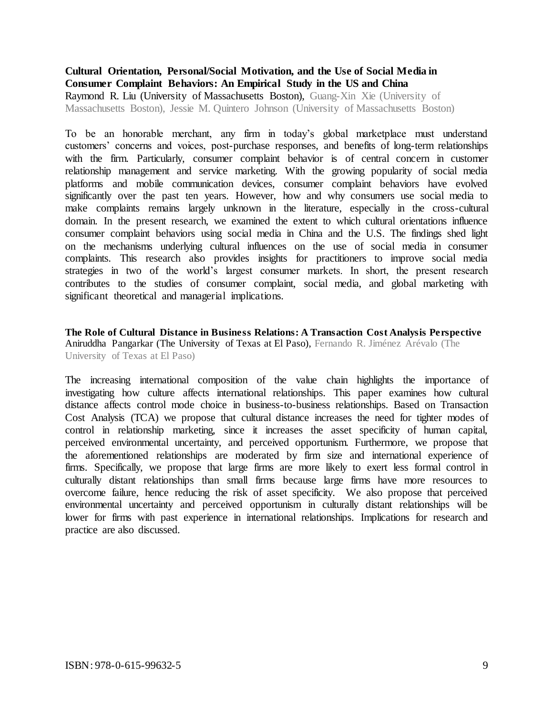#### **Cultural Orientation, Personal/Social Motivation, and the Use of Social Media in Consumer Complaint Behaviors: An Empirical Study in the US and China**

Raymond R. Liu (University of Massachusetts Boston), Guang-Xin Xie (University of Massachusetts Boston), Jessie M. Quintero Johnson (University of Massachusetts Boston)

To be an honorable merchant, any firm in today's global marketplace must understand customers' concerns and voices, post-purchase responses, and benefits of long-term relationships with the firm. Particularly, consumer complaint behavior is of central concern in customer relationship management and service marketing. With the growing popularity of social media platforms and mobile communication devices, consumer complaint behaviors have evolved significantly over the past ten years. However, how and why consumers use social media to make complaints remains largely unknown in the literature, especially in the cross-cultural domain. In the present research, we examined the extent to which cultural orientations influence consumer complaint behaviors using social media in China and the U.S. The findings shed light on the mechanisms underlying cultural influences on the use of social media in consumer complaints. This research also provides insights for practitioners to improve social media strategies in two of the world's largest consumer markets. In short, the present research contributes to the studies of consumer complaint, social media, and global marketing with significant theoretical and managerial implications.

**The Role of Cultural Distance in Business Relations: A Transaction Cost Analysis Perspective** Aniruddha Pangarkar (The University of Texas at El Paso), Fernando R. Jiménez Arévalo (The University of Texas at El Paso)

The increasing international composition of the value chain highlights the importance of investigating how culture affects international relationships. This paper examines how cultural distance affects control mode choice in business-to-business relationships. Based on Transaction Cost Analysis (TCA) we propose that cultural distance increases the need for tighter modes of control in relationship marketing, since it increases the asset specificity of human capital, perceived environmental uncertainty, and perceived opportunism. Furthermore, we propose that the aforementioned relationships are moderated by firm size and international experience of firms. Specifically, we propose that large firms are more likely to exert less formal control in culturally distant relationships than small firms because large firms have more resources to overcome failure, hence reducing the risk of asset specificity. We also propose that perceived environmental uncertainty and perceived opportunism in culturally distant relationships will be lower for firms with past experience in international relationships. Implications for research and practice are also discussed.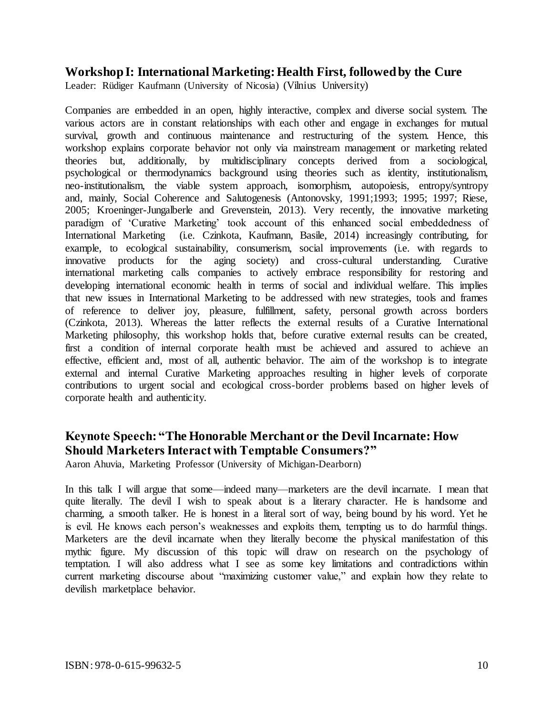#### **Workshop I: International Marketing: Health First, followed by the Cure**

Leader: Rüdiger Kaufmann (University of Nicosia) (Vilnius University)

Companies are embedded in an open, highly interactive, complex and diverse social system. The various actors are in constant relationships with each other and engage in exchanges for mutual survival, growth and continuous maintenance and restructuring of the system. Hence, this workshop explains corporate behavior not only via mainstream management or marketing related theories but, additionally, by multidisciplinary concepts derived from a sociological, psychological or thermodynamics background using theories such as identity, institutionalism, neo-institutionalism, the viable system approach, isomorphism, autopoiesis, entropy/syntropy and, mainly, Social Coherence and Salutogenesis (Antonovsky, 1991;1993; 1995; 1997; Riese, 2005; Kroeninger-Jungalberle and Grevenstein, 2013). Very recently, the innovative marketing paradigm of 'Curative Marketing' took account of this enhanced social embeddedness of International Marketing (i.e. Czinkota, Kaufmann, Basile, 2014) increasingly contributing, for example, to ecological sustainability, consumerism, social improvements (i.e. with regards to innovative products for the aging society) and cross-cultural understanding. Curative international marketing calls companies to actively embrace responsibility for restoring and developing international economic health in terms of social and individual welfare. This implies that new issues in International Marketing to be addressed with new strategies, tools and frames of reference to deliver joy, pleasure, fulfillment, safety, personal growth across borders (Czinkota, 2013). Whereas the latter reflects the external results of a Curative International Marketing philosophy, this workshop holds that, before curative external results can be created, first a condition of internal corporate health must be achieved and assured to achieve an effective, efficient and, most of all, authentic behavior. The aim of the workshop is to integrate external and internal Curative Marketing approaches resulting in higher levels of corporate contributions to urgent social and ecological cross-border problems based on higher levels of corporate health and authenticity.

# **Keynote Speech: "The Honorable Merchant or the Devil Incarnate: How Should Marketers Interact with Temptable Consumers?"**

Aaron Ahuvia, Marketing Professor (University of Michigan-Dearborn)

In this talk I will argue that some—indeed many—marketers are the devil incarnate. I mean that quite literally. The devil I wish to speak about is a literary character. He is handsome and charming, a smooth talker. He is honest in a literal sort of way, being bound by his word. Yet he is evil. He knows each person's weaknesses and exploits them, tempting us to do harmful things. Marketers are the devil incarnate when they literally become the physical manifestation of this mythic figure. My discussion of this topic will draw on research on the psychology of temptation. I will also address what I see as some key limitations and contradictions within current marketing discourse about "maximizing customer value," and explain how they relate to devilish marketplace behavior.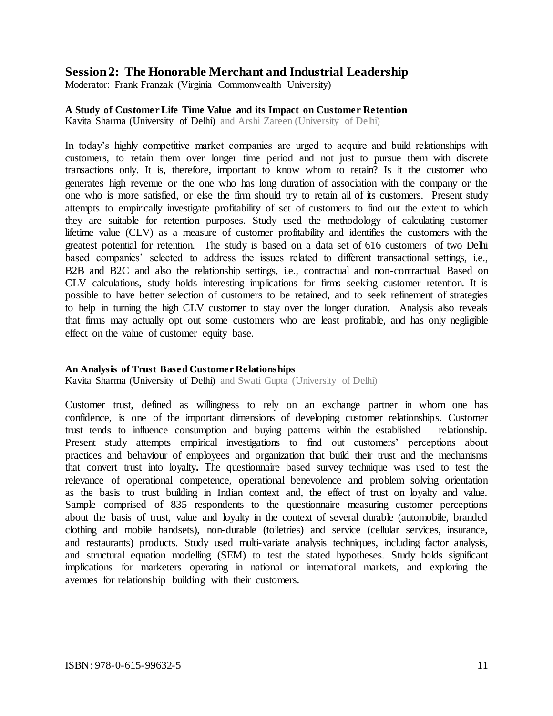#### **Session 2: The Honorable Merchant and Industrial Leadership**

Moderator: Frank Franzak (Virginia Commonwealth University)

#### **A Study of Customer Life Time Value and its Impact on Customer Retention**

Kavita Sharma (University of Delhi) and Arshi Zareen (University of Delhi)

In today's highly competitive market companies are urged to acquire and build relationships with customers, to retain them over longer time period and not just to pursue them with discrete transactions only. It is, therefore, important to know whom to retain? Is it the customer who generates high revenue or the one who has long duration of association with the company or the one who is more satisfied, or else the firm should try to retain all of its customers. Present study attempts to empirically investigate profitability of set of customers to find out the extent to which they are suitable for retention purposes. Study used the methodology of calculating customer lifetime value (CLV) as a measure of customer profitability and identifies the customers with the greatest potential for retention. The study is based on a data set of 616 customers of two Delhi based companies' selected to address the issues related to different transactional settings, i.e., B2B and B2C and also the relationship settings, i.e., contractual and non-contractual. Based on CLV calculations, study holds interesting implications for firms seeking customer retention. It is possible to have better selection of customers to be retained, and to seek refinement of strategies to help in turning the high CLV customer to stay over the longer duration. Analysis also reveals that firms may actually opt out some customers who are least profitable, and has only negligible effect on the value of customer equity base.

#### **An Analysis of Trust Based Customer Relationships**

Kavita Sharma (University of Delhi) and Swati Gupta (University of Delhi)

Customer trust, defined as willingness to rely on an exchange partner in whom one has confidence, is one of the important dimensions of developing customer relationships. Customer trust tends to influence consumption and buying patterns within the established relationship. Present study attempts empirical investigations to find out customers' perceptions about practices and behaviour of employees and organization that build their trust and the mechanisms that convert trust into loyalty**.** The questionnaire based survey technique was used to test the relevance of operational competence, operational benevolence and problem solving orientation as the basis to trust building in Indian context and, the effect of trust on loyalty and value. Sample comprised of 835 respondents to the questionnaire measuring customer perceptions about the basis of trust, value and loyalty in the context of several durable (automobile, branded clothing and mobile handsets), non-durable (toiletries) and service (cellular services, insurance, and restaurants) products. Study used multi-variate analysis techniques, including factor analysis, and structural equation modelling (SEM) to test the stated hypotheses. Study holds significant implications for marketers operating in national or international markets, and exploring the avenues for relationship building with their customers.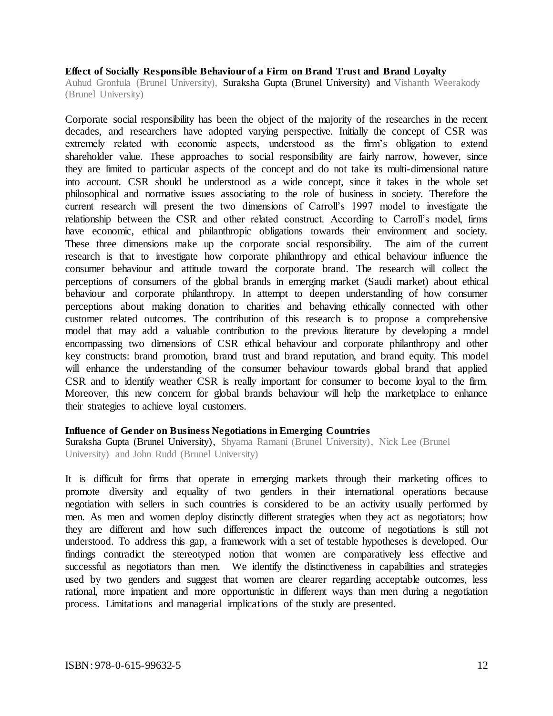#### **Effect of Socially Responsible Behaviour of a Firm on Brand Trust and Brand Loyalty**

Auhud Gronfula (Brunel University), Suraksha Gupta (Brunel University) and Vishanth Weerakody (Brunel University)

Corporate social responsibility has been the object of the majority of the researches in the recent decades, and researchers have adopted varying perspective. Initially the concept of CSR was extremely related with economic aspects, understood as the firm's obligation to extend shareholder value. These approaches to social responsibility are fairly narrow, however, since they are limited to particular aspects of the concept and do not take its multi-dimensional nature into account. CSR should be understood as a wide concept, since it takes in the whole set philosophical and normative issues associating to the role of business in society. Therefore the current research will present the two dimensions of Carroll's 1997 model to investigate the relationship between the CSR and other related construct. According to Carroll's model, firms have economic, ethical and philanthropic obligations towards their environment and society. These three dimensions make up the corporate social responsibility. The aim of the current research is that to investigate how corporate philanthropy and ethical behaviour influence the consumer behaviour and attitude toward the corporate brand. The research will collect the perceptions of consumers of the global brands in emerging market (Saudi market) about ethical behaviour and corporate philanthropy. In attempt to deepen understanding of how consumer perceptions about making donation to charities and behaving ethically connected with other customer related outcomes. The contribution of this research is to propose a comprehensive model that may add a valuable contribution to the previous literature by developing a model encompassing two dimensions of CSR ethical behaviour and corporate philanthropy and other key constructs: brand promotion, brand trust and brand reputation, and brand equity. This model will enhance the understanding of the consumer behaviour towards global brand that applied CSR and to identify weather CSR is really important for consumer to become loyal to the firm. Moreover, this new concern for global brands behaviour will help the marketplace to enhance their strategies to achieve loyal customers.

#### **Influence of Gender on Business Negotiations in Emerging Countries**

Suraksha Gupta (Brunel University), Shyama Ramani (Brunel University), Nick Lee (Brunel University) and John Rudd (Brunel University)

It is difficult for firms that operate in emerging markets through their marketing offices to promote diversity and equality of two genders in their international operations because negotiation with sellers in such countries is considered to be an activity usually performed by men. As men and women deploy distinctly different strategies when they act as negotiators; how they are different and how such differences impact the outcome of negotiations is still not understood. To address this gap, a framework with a set of testable hypotheses is developed. Our findings contradict the stereotyped notion that women are comparatively less effective and successful as negotiators than men. We identify the distinctiveness in capabilities and strategies used by two genders and suggest that women are clearer regarding acceptable outcomes, less rational, more impatient and more opportunistic in different ways than men during a negotiation process. Limitations and managerial implications of the study are presented.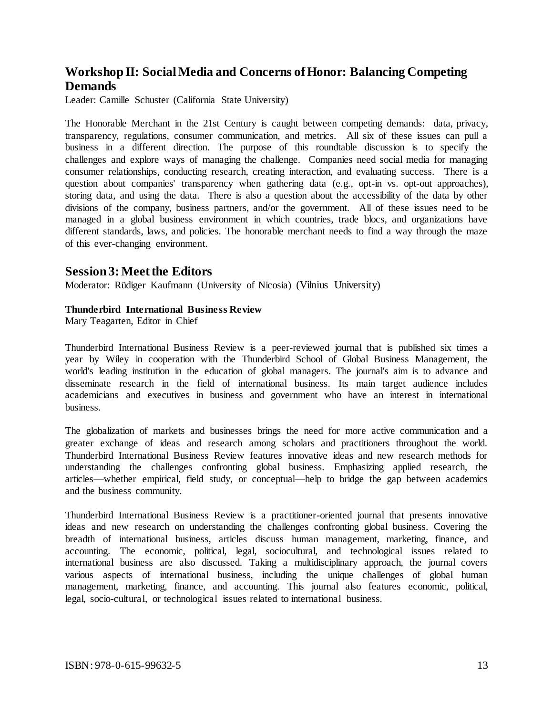#### **Workshop II: Social Media and Concerns of Honor: Balancing Competing Demands**

Leader: Camille Schuster (California State University)

The Honorable Merchant in the 21st Century is caught between competing demands: data, privacy, transparency, regulations, consumer communication, and metrics. All six of these issues can pull a business in a different direction. The purpose of this roundtable discussion is to specify the challenges and explore ways of managing the challenge. Companies need social media for managing consumer relationships, conducting research, creating interaction, and evaluating success. There is a question about companies' transparency when gathering data (e.g., opt-in vs. opt-out approaches), storing data, and using the data. There is also a question about the accessibility of the data by other divisions of the company, business partners, and/or the government. All of these issues need to be managed in a global business environment in which countries, trade blocs, and organizations have different standards, laws, and policies. The honorable merchant needs to find a way through the maze of this ever-changing environment.

#### **Session 3: Meet the Editors**

Moderator: Rüdiger Kaufmann (University of Nicosia) (Vilnius University)

#### **Thunderbird International Business Review**

Mary Teagarten, Editor in Chief

Thunderbird International Business Review is a peer-reviewed journal that is published six times a year by Wiley in cooperation with the Thunderbird School of Global Business Management, the world's leading institution in the education of global managers. The journal's aim is to advance and disseminate research in the field of international business. Its main target audience includes academicians and executives in business and government who have an interest in international business.

The globalization of markets and businesses brings the need for more active communication and a greater exchange of ideas and research among scholars and practitioners throughout the world. Thunderbird International Business Review features innovative ideas and new research methods for understanding the challenges confronting global business. Emphasizing applied research, the articles—whether empirical, field study, or conceptual—help to bridge the gap between academics and the business community.

Thunderbird International Business Review is a practitioner-oriented journal that presents innovative ideas and new research on understanding the challenges confronting global business. Covering the breadth of international business, articles discuss human management, marketing, finance, and accounting. The economic, political, legal, sociocultural, and technological issues related to international business are also discussed. Taking a multidisciplinary approach, the journal covers various aspects of international business, including the unique challenges of global human management, marketing, finance, and accounting. This journal also features economic, political, legal, socio-cultural, or technological issues related to international business.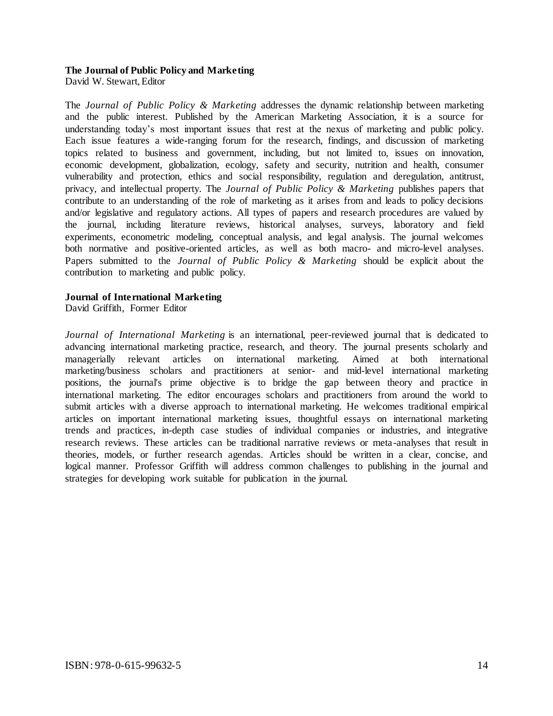#### **The Journal of Public Policy and Marketing**

David W. Stewart, Editor

The *Journal of Public Policy & Marketing* addresses the dynamic relationship between marketing and the public interest. Published by the American Marketing Association, it is a source for understanding today's most important issues that rest at the nexus of marketing and public policy. Each issue features a wide-ranging forum for the research, findings, and discussion of marketing topics related to business and government, including, but not limited to, issues on innovation, economic development, globalization, ecology, safety and security, nutrition and health, consumer vulnerability and protection, ethics and social responsibility, regulation and deregulation, antitrust, privacy, and intellectual property. The *Journal of Public Policy & Marketing* publishes papers that contribute to an understanding of the role of marketing as it arises from and leads to policy decisions and/or legislative and regulatory actions. All types of papers and research procedures are valued by the journal, including literature reviews, historical analyses, surveys, laboratory and field experiments, econometric modeling, conceptual analysis, and legal analysis. The journal welcomes both normative and positive-oriented articles, as well as both macro- and micro-level analyses. Papers submitted to the *Journal of Public Policy & Marketing* should be explicit about the contribution to marketing and public policy.

#### **Journal of International Marketing**

David Griffith, Former Editor

*Journal of International Marketing* is an international, peer-reviewed journal that is dedicated to advancing international marketing practice, research, and theory. The journal presents scholarly and managerially relevant articles on international marketing. Aimed at both international marketing/business scholars and practitioners at senior- and mid-level international marketing positions, the journal's prime objective is to bridge the gap between theory and practice in international marketing. The editor encourages scholars and practitioners from around the world to submit articles with a diverse approach to international marketing. He welcomes traditional empirical articles on important international marketing issues, thoughtful essays on international marketing trends and practices, in-depth case studies of individual companies or industries, and integrative research reviews. These articles can be traditional narrative reviews or meta-analyses that result in theories, models, or further research agendas. Articles should be written in a clear, concise, and logical manner. Professor Griffith will address common challenges to publishing in the journal and strategies for developing work suitable for publication in the journal.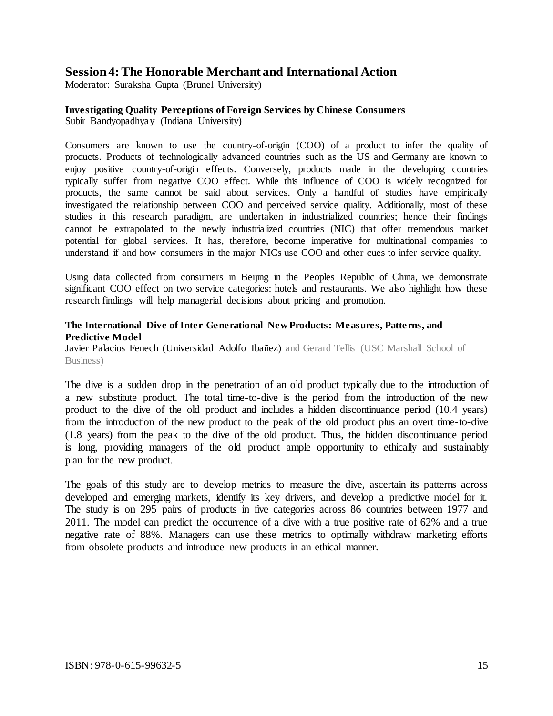#### **Session 4: The Honorable Merchant and International Action**

Moderator: Suraksha Gupta (Brunel University)

# **Investigating Quality Perceptions of Foreign Services by Chinese Consumers**

Subir Bandyopadhyay (Indiana University)

Consumers are known to use the country-of-origin (COO) of a product to infer the quality of products. Products of technologically advanced countries such as the US and Germany are known to enjoy positive country-of-origin effects. Conversely, products made in the developing countries typically suffer from negative COO effect. While this influence of COO is widely recognized for products, the same cannot be said about services. Only a handful of studies have empirically investigated the relationship between COO and perceived service quality. Additionally, most of these studies in this research paradigm, are undertaken in industrialized countries; hence their findings cannot be extrapolated to the newly industrialized countries (NIC) that offer tremendous market potential for global services. It has, therefore, become imperative for multinational companies to understand if and how consumers in the major NICs use COO and other cues to infer service quality.

Using data collected from consumers in Beijing in the Peoples Republic of China, we demonstrate significant COO effect on two service categories: hotels and restaurants. We also highlight how these research findings will help managerial decisions about pricing and promotion.

#### **The International Dive of Inter-Generational New Products: Measures, Patterns, and Predictive Model**

Javier Palacios Fenech (Universidad Adolfo Ibañez) and Gerard Tellis (USC Marshall School of Business)

The dive is a sudden drop in the penetration of an old product typically due to the introduction of a new substitute product. The total time-to-dive is the period from the introduction of the new product to the dive of the old product and includes a hidden discontinuance period (10.4 years) from the introduction of the new product to the peak of the old product plus an overt time-to-dive (1.8 years) from the peak to the dive of the old product. Thus, the hidden discontinuance period is long, providing managers of the old product ample opportunity to ethically and sustainably plan for the new product.

The goals of this study are to develop metrics to measure the dive, ascertain its patterns across developed and emerging markets, identify its key drivers, and develop a predictive model for it. The study is on 295 pairs of products in five categories across 86 countries between 1977 and 2011. The model can predict the occurrence of a dive with a true positive rate of 62% and a true negative rate of 88%. Managers can use these metrics to optimally withdraw marketing efforts from obsolete products and introduce new products in an ethical manner.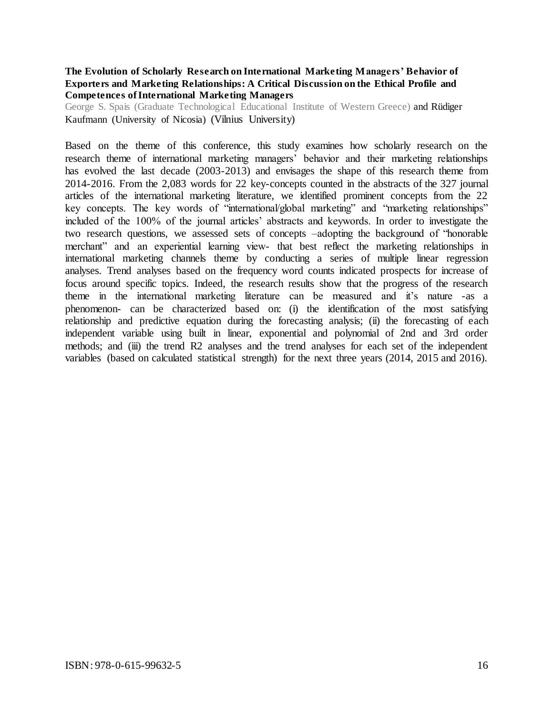#### **The Evolution of Scholarly Research on International Marketing Managers' Behavior of Exporters and Marketing Relationships: A Critical Discussion on the Ethical Profile and Competences of International Marketing Managers**

George S. Spais (Graduate Technological Educational Institute of Western Greece) and Rüdiger Kaufmann (University of Nicosia) (Vilnius University)

Based on the theme of this conference, this study examines how scholarly research on the research theme of international marketing managers' behavior and their marketing relationships has evolved the last decade (2003-2013) and envisages the shape of this research theme from 2014-2016. From the 2,083 words for 22 key-concepts counted in the abstracts of the 327 journal articles of the international marketing literature, we identified prominent concepts from the 22 key concepts. The key words of "international/global marketing" and "marketing relationships" included of the 100% of the journal articles' abstracts and keywords. In order to investigate the two research questions, we assessed sets of concepts –adopting the background of "honorable merchant" and an experiential learning view- that best reflect the marketing relationships in international marketing channels theme by conducting a series of multiple linear regression analyses. Trend analyses based on the frequency word counts indicated prospects for increase of focus around specific topics. Indeed, the research results show that the progress of the research theme in the international marketing literature can be measured and it's nature -as a phenomenon- can be characterized based on: (i) the identification of the most satisfying relationship and predictive equation during the forecasting analysis; (ii) the forecasting of each independent variable using built in linear, exponential and polynomial of 2nd and 3rd order methods; and (iii) the trend R2 analyses and the trend analyses for each set of the independent variables (based on calculated statistical strength) for the next three years (2014, 2015 and 2016).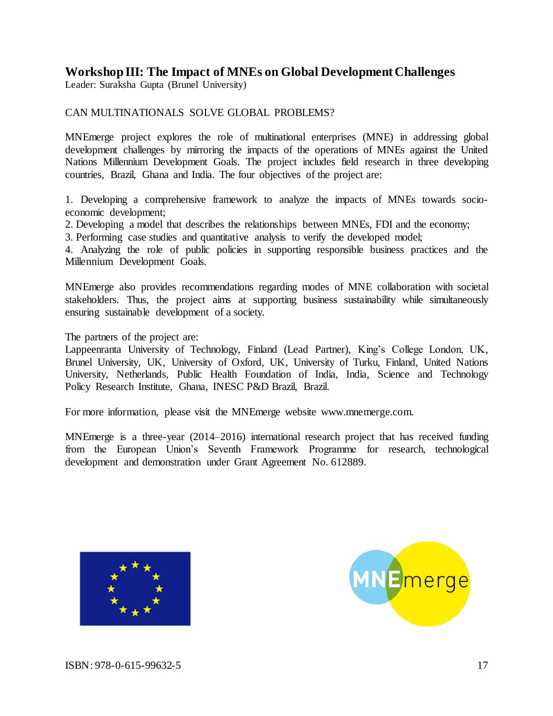#### **Workshop III: The Impact of MNEs on Global Development Challenges**

Leader: Suraksha Gupta (Brunel University)

#### CAN MULTINATIONALS SOLVE GLOBAL PROBLEMS?

MNEmerge project explores the role of multinational enterprises (MNE) in addressing global development challenges by mirroring the impacts of the operations of MNEs against the United Nations Millennium Development Goals. The project includes field research in three developing countries, Brazil, Ghana and India. The four objectives of the project are:

1. Developing a comprehensive framework to analyze the impacts of MNEs towards socioeconomic development;

2. Developing a model that describes the relationships between MNEs, FDI and the economy;

3. Performing case studies and quantitative analysis to verify the developed model;

4. Analyzing the role of public policies in supporting responsible business practices and the Millennium Development Goals.

MNEmerge also provides recommendations regarding modes of MNE collaboration with societal stakeholders. Thus, the project aims at supporting business sustainability while simultaneously ensuring sustainable development of a society.

The partners of the project are:

Lappeenranta University of Technology, Finland (Lead Partner), King's College London, UK, Brunel University, UK, University of Oxford, UK, University of Turku, Finland, United Nations University, Netherlands, Public Health Foundation of India, India, Science and Technology Policy Research Institute, Ghana, INESC P&D Brazil, Brazil.

For more information, please visit the MNEmerge website www.mnemerge.com.

MNEmerge is a three-year (2014–2016) international research project that has received funding from the European Union's Seventh Framework Programme for research, technological development and demonstration under Grant Agreement No. 612889.



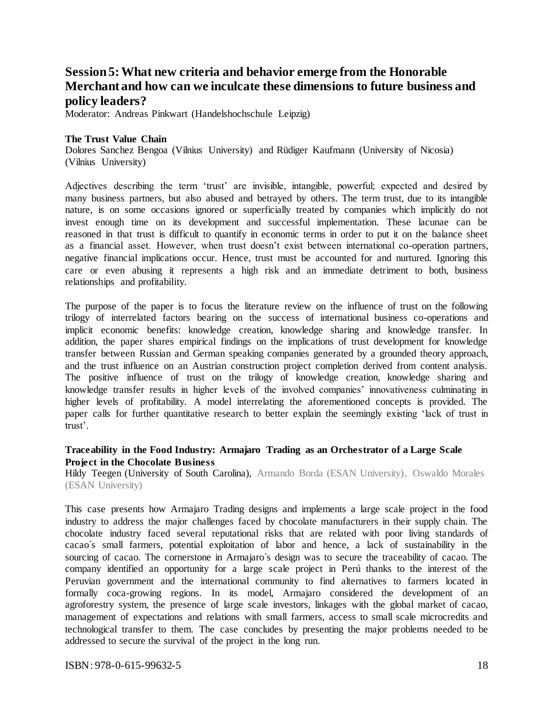### **Session 5: What new criteria and behavior emerge from the Honorable Merchant and how can we inculcate these dimensions to future business and policy leaders?**

Moderator: Andreas Pinkwart (Handelshochschule Leipzig)

#### **The Trust Value Chain**

Dolores Sanchez Bengoa (Vilnius University) and Rüdiger Kaufmann (University of Nicosia) (Vilnius University)

Adjectives describing the term 'trust' are invisible, intangible, powerful; expected and desired by many business partners, but also abused and betrayed by others. The term trust, due to its intangible nature, is on some occasions ignored or superficially treated by companies which implicitly do not invest enough time on its development and successful implementation. These lacunae can be reasoned in that trust is difficult to quantify in economic terms in order to put it on the balance sheet as a financial asset. However, when trust doesn't exist between international co-operation partners, negative financial implications occur. Hence, trust must be accounted for and nurtured. Ignoring this care or even abusing it represents a high risk and an immediate detriment to both, business relationships and profitability.

The purpose of the paper is to focus the literature review on the influence of trust on the following trilogy of interrelated factors bearing on the success of international business co-operations and implicit economic benefits: knowledge creation, knowledge sharing and knowledge transfer. In addition, the paper shares empirical findings on the implications of trust development for knowledge transfer between Russian and German speaking companies generated by a grounded theory approach, and the trust influence on an Austrian construction project completion derived from content analysis. The positive influence of trust on the trilogy of knowledge creation, knowledge sharing and knowledge transfer results in higher levels of the involved companies' innovativeness culminating in higher levels of profitability. A model interrelating the aforementioned concepts is provided. The paper calls for further quantitative research to better explain the seemingly existing 'lack of trust in trust'.

#### **Traceability in the Food Industry: Armajaro Trading as an Orchestrator of a Large Scale Project in the Chocolate Business**

Hildy Teegen (University of South Carolina), Armando Borda (ESAN University), Oswaldo Morales (ESAN University)

This case presents how Armajaro Trading designs and implements a large scale project in the food industry to address the major challenges faced by chocolate manufacturers in their supply chain. The chocolate industry faced several reputational risks that are related with poor living standards of cacao´s small farmers, potential exploitation of labor and hence, a lack of sustainability in the sourcing of cacao. The cornerstone in Armajaro´s design was to secure the traceability of cacao. The company identified an opportunity for a large scale project in Perú thanks to the interest of the Peruvian government and the international community to find alternatives to farmers located in formally coca-growing regions. In its model, Armajaro considered the development of an agroforestry system, the presence of large scale investors, linkages with the global market of cacao, management of expectations and relations with small farmers, access to small scale microcredits and technological transfer to them. The case concludes by presenting the major problems needed to be addressed to secure the survival of the project in the long run.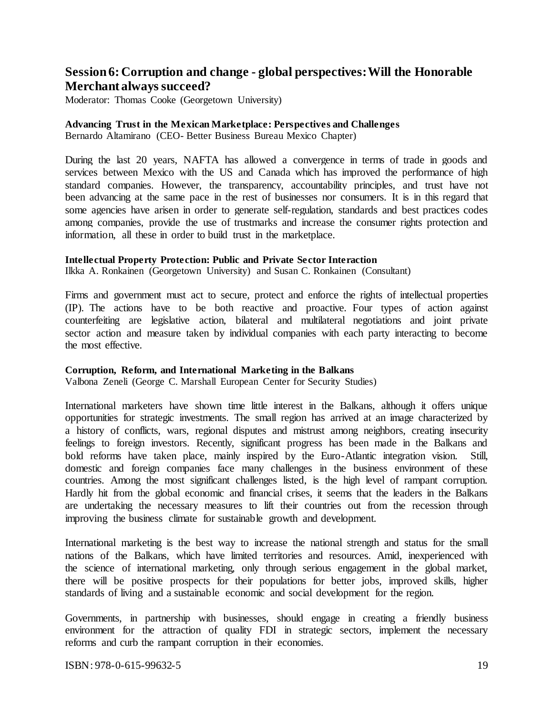#### **Session 6: Corruption and change - global perspectives: Will the Honorable Merchant always succeed?**

Moderator: Thomas Cooke (Georgetown University)

#### **Advancing Trust in the Mexican Marketplace: Perspectives and Challenges**

Bernardo Altamirano (CEO- Better Business Bureau Mexico Chapter)

During the last 20 years, NAFTA has allowed a convergence in terms of trade in goods and services between Mexico with the US and Canada which has improved the performance of high standard companies. However, the transparency, accountability principles, and trust have not been advancing at the same pace in the rest of businesses nor consumers. It is in this regard that some agencies have arisen in order to generate self-regulation, standards and best practices codes among companies, provide the use of trustmarks and increase the consumer rights protection and information, all these in order to build trust in the marketplace.

#### **Intellectual Property Protection: Public and Private Sector Interaction**

Ilkka A. Ronkainen (Georgetown University) and Susan C. Ronkainen (Consultant)

Firms and government must act to secure, protect and enforce the rights of intellectual properties (IP). The actions have to be both reactive and proactive. Four types of action against counterfeiting are legislative action, bilateral and multilateral negotiations and joint private sector action and measure taken by individual companies with each party interacting to become the most effective.

#### **Corruption, Reform, and International Marketing in the Balkans**

Valbona Zeneli (George C. Marshall European Center for Security Studies)

International marketers have shown time little interest in the Balkans, although it offers unique opportunities for strategic investments. The small region has arrived at an image characterized by a history of conflicts, wars, regional disputes and mistrust among neighbors, creating insecurity feelings to foreign investors. Recently, significant progress has been made in the Balkans and bold reforms have taken place, mainly inspired by the Euro-Atlantic integration vision. Still, domestic and foreign companies face many challenges in the business environment of these countries. Among the most significant challenges listed, is the high level of rampant corruption. Hardly hit from the global economic and financial crises, it seems that the leaders in the Balkans are undertaking the necessary measures to lift their countries out from the recession through improving the business climate for sustainable growth and development.

International marketing is the best way to increase the national strength and status for the small nations of the Balkans, which have limited territories and resources. Amid, inexperienced with the science of international marketing, only through serious engagement in the global market, there will be positive prospects for their populations for better jobs, improved skills, higher standards of living and a sustainable economic and social development for the region.

Governments, in partnership with businesses, should engage in creating a friendly business environment for the attraction of quality FDI in strategic sectors, implement the necessary reforms and curb the rampant corruption in their economies.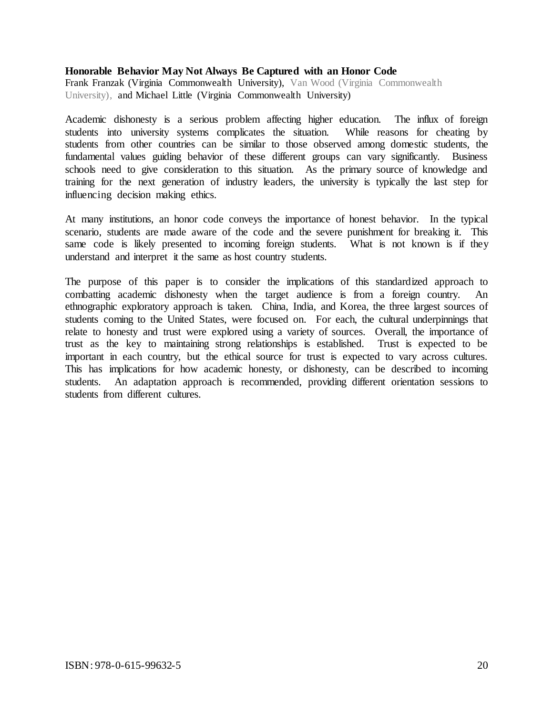#### **Honorable Behavior May Not Always Be Captured with an Honor Code**

Frank Franzak (Virginia Commonwealth University), Van Wood (Virginia Commonwealth University), and Michael Little (Virginia Commonwealth University)

Academic dishonesty is a serious problem affecting higher education. The influx of foreign students into university systems complicates the situation. While reasons for cheating by students from other countries can be similar to those observed among domestic students, the fundamental values guiding behavior of these different groups can vary significantly. Business schools need to give consideration to this situation. As the primary source of knowledge and training for the next generation of industry leaders, the university is typically the last step for influencing decision making ethics.

At many institutions, an honor code conveys the importance of honest behavior. In the typical scenario, students are made aware of the code and the severe punishment for breaking it. This same code is likely presented to incoming foreign students. What is not known is if they understand and interpret it the same as host country students.

The purpose of this paper is to consider the implications of this standardized approach to combatting academic dishonesty when the target audience is from a foreign country. An ethnographic exploratory approach is taken. China, India, and Korea, the three largest sources of students coming to the United States, were focused on. For each, the cultural underpinnings that relate to honesty and trust were explored using a variety of sources. Overall, the importance of trust as the key to maintaining strong relationships is established. Trust is expected to be important in each country, but the ethical source for trust is expected to vary across cultures. This has implications for how academic honesty, or dishonesty, can be described to incoming students. An adaptation approach is recommended, providing different orientation sessions to students from different cultures.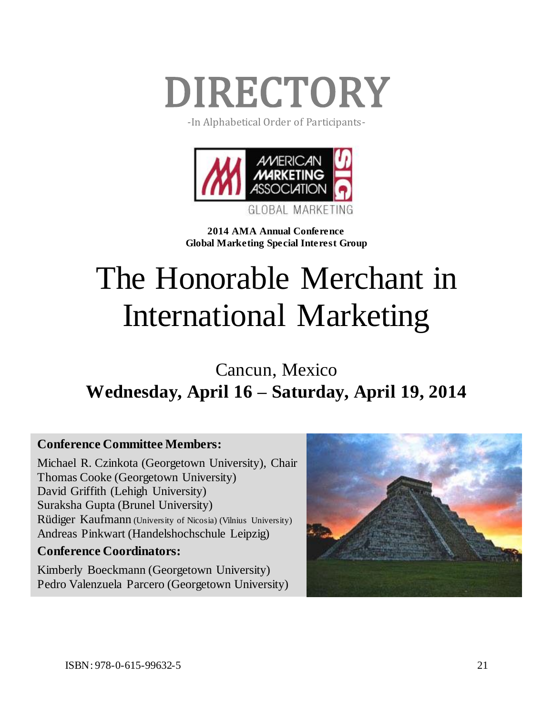

-In Alphabetical Order of Participants-



**2014 AMA Annual Conference Global Marketing Special Interest Group** 

# The Honorable Merchant in International Marketing

# Cancun, Mexico **Wednesday, April 16 – Saturday, April 19, 2014**

# **Conference Committee Members:**

Michael R. Czinkota (Georgetown University), Chair Thomas Cooke (Georgetown University) David Griffith (Lehigh University) Suraksha Gupta (Brunel University) Rüdiger Kaufmann (University of Nicosia) (Vilnius University) Andreas Pinkwart (Handelshochschule Leipzig)

# **Conference Coordinators:**

Kimberly Boeckmann (Georgetown University) Pedro Valenzuela Parcero (Georgetown University)

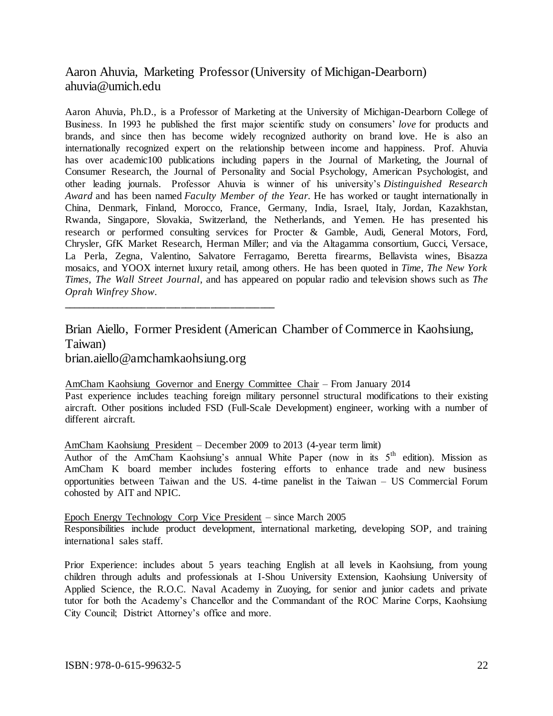## Aaron Ahuvia, Marketing Professor (University of Michigan-Dearborn) ahuvia@umich.edu

Aaron Ahuvia, Ph.D., is a Professor of Marketing at the University of Michigan-Dearborn College of Business. In 1993 he published the first major scientific study on consumers' *love* for products and brands, and since then has become widely recognized authority on brand love. He is also an internationally recognized expert on the relationship between income and happiness. Prof. Ahuvia has over academic100 publications including papers in the Journal of Marketing, the Journal of Consumer Research, the Journal of Personality and Social Psychology, American Psychologist, and other leading journals. Professor Ahuvia is winner of his university's *Distinguished Research Award* and has been named *Faculty Member of the Year.* He has worked or taught internationally in China, Denmark, Finland, Morocco, France, Germany, India, Israel, Italy, Jordan, Kazakhstan, Rwanda, Singapore, Slovakia, Switzerland, the Netherlands, and Yemen. He has presented his research or performed consulting services for Procter & Gamble, Audi, General Motors, Ford, Chrysler, GfK Market Research, Herman Miller; and via the Altagamma consortium, Gucci, Versace, La Perla, Zegna, Valentino, Salvatore Ferragamo, Beretta firearms, Bellavista wines, Bisazza mosaics, and YOOX internet luxury retail, among others. He has been quoted in *Time, The New York Times, The Wall Street Journal*, and has appeared on popular radio and television shows such as *The Oprah Winfrey Show*.

#### Brian Aiello, Former President (American Chamber of Commerce in Kaohsiung, Taiwan) brian.aiello@amchamkaohsiung.org

#### AmCham Kaohsiung Governor and Energy Committee Chair – From January 2014

Past experience includes teaching foreign military personnel structural modifications to their existing aircraft. Other positions included FSD (Full-Scale Development) engineer, working with a number of different aircraft.

#### AmCham Kaohsiung President – December 2009 to 2013 (4-year term limit)

\_\_\_\_\_\_\_\_\_\_\_\_\_\_\_\_\_\_\_\_\_\_\_\_\_\_\_\_\_\_\_\_\_\_\_\_\_\_\_\_\_\_\_

Author of the AmCham Kaohsiung's annual White Paper (now in its  $5<sup>th</sup>$  edition). Mission as AmCham K board member includes fostering efforts to enhance trade and new business opportunities between Taiwan and the US. 4-time panelist in the Taiwan – US Commercial Forum cohosted by AIT and NPIC.

Epoch Energy Technology Corp Vice President – since March 2005

Responsibilities include product development, international marketing, developing SOP, and training international sales staff.

Prior Experience: includes about 5 years teaching English at all levels in Kaohsiung, from young children through adults and professionals at I-Shou University Extension, Kaohsiung University of Applied Science, the R.O.C. Naval Academy in Zuoying, for senior and junior cadets and private tutor for both the Academy's Chancellor and the Commandant of the ROC Marine Corps, Kaohsiung City Council; District Attorney's office and more.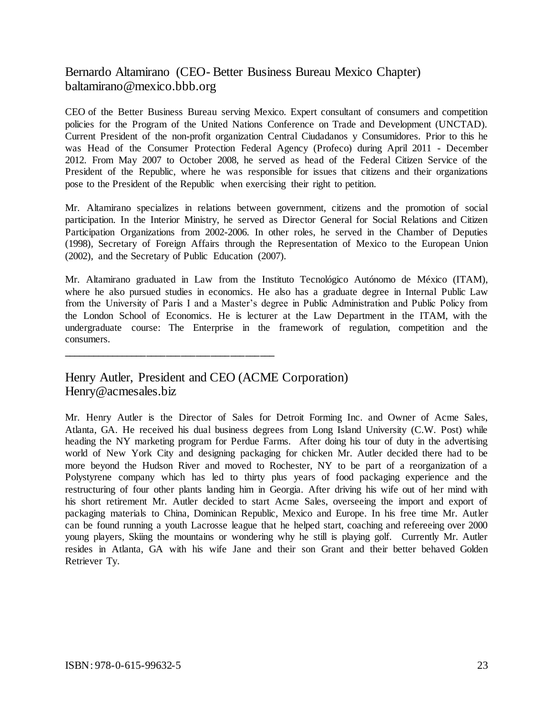#### Bernardo Altamirano (CEO- Better Business Bureau Mexico Chapter) baltamirano@mexico.bbb.org

CEO of the Better Business Bureau serving Mexico. Expert consultant of consumers and competition policies for the Program of the United Nations Conference on Trade and Development (UNCTAD). Current President of the non-profit organization Central Ciudadanos y Consumidores. Prior to this he was Head of the Consumer Protection Federal Agency (Profeco) during April 2011 - December 2012. From May 2007 to October 2008, he served as head of the Federal Citizen Service of the President of the Republic, where he was responsible for issues that citizens and their organizations pose to the President of the Republic when exercising their right to petition.

Mr. Altamirano specializes in relations between government, citizens and the promotion of social participation. In the Interior Ministry, he served as Director General for Social Relations and Citizen Participation Organizations from 2002-2006. In other roles, he served in the Chamber of Deputies (1998), Secretary of Foreign Affairs through the Representation of Mexico to the European Union (2002), and the Secretary of Public Education (2007).

Mr. Altamirano graduated in Law from the Instituto Tecnológico Autónomo de México (ITAM), where he also pursued studies in economics. He also has a graduate degree in Internal Public Law from the University of Paris I and a Master's degree in Public Administration and Public Policy from the London School of Economics. He is lecturer at the Law Department in the ITAM, with the undergraduate course: The Enterprise in the framework of regulation, competition and the consumers.

Henry Autler, President and CEO (ACME Corporation) Henry@acmesales.biz

\_\_\_\_\_\_\_\_\_\_\_\_\_\_\_\_\_\_\_\_\_\_\_\_\_\_\_\_\_\_\_\_\_\_\_\_\_\_\_\_\_\_\_

Mr. Henry Autler is the Director of Sales for Detroit Forming Inc. and Owner of Acme Sales, Atlanta, GA. He received his dual business degrees from Long Island University (C.W. Post) while heading the NY marketing program for Perdue Farms. After doing his tour of duty in the advertising world of New York City and designing packaging for chicken Mr. Autler decided there had to be more beyond the Hudson River and moved to Rochester, NY to be part of a reorganization of a Polystyrene company which has led to thirty plus years of food packaging experience and the restructuring of four other plants landing him in Georgia. After driving his wife out of her mind with his short retirement Mr. Autler decided to start Acme Sales, overseeing the import and export of packaging materials to China, Dominican Republic, Mexico and Europe. In his free time Mr. Autler can be found running a youth Lacrosse league that he helped start, coaching and refereeing over 2000 young players, Skiing the mountains or wondering why he still is playing golf. Currently Mr. Autler resides in Atlanta, GA with his wife Jane and their son Grant and their better behaved Golden Retriever Ty.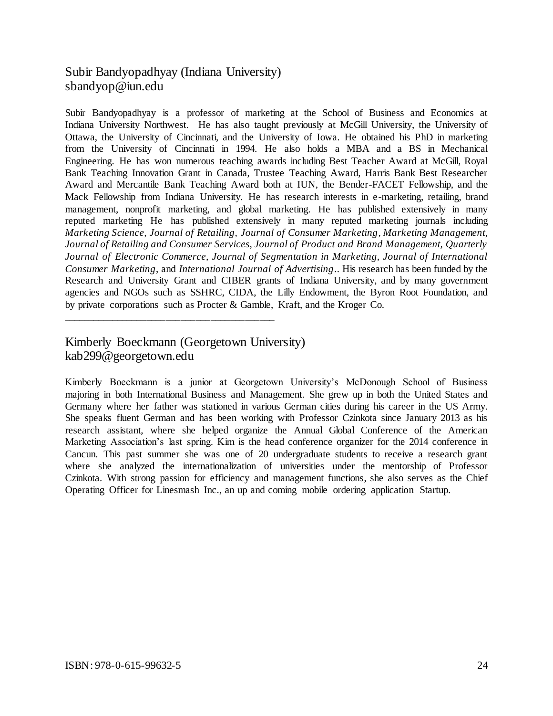# Subir Bandyopadhyay (Indiana University) sbandyop@iun.edu

Subir Bandyopadhyay is a professor of marketing at the School of Business and Economics at Indiana University Northwest. He has also taught previously at McGill University, the University of Ottawa, the University of Cincinnati, and the University of Iowa. He obtained his PhD in marketing from the University of Cincinnati in 1994. He also holds a MBA and a BS in Mechanical Engineering. He has won numerous teaching awards including Best Teacher Award at McGill, Royal Bank Teaching Innovation Grant in Canada, Trustee Teaching Award, Harris Bank Best Researcher Award and Mercantile Bank Teaching Award both at IUN, the Bender-FACET Fellowship, and the Mack Fellowship from Indiana University. He has research interests in e-marketing, retailing, brand management, nonprofit marketing, and global marketing. He has published extensively in many reputed marketing He has published extensively in many reputed marketing journals including *Marketing Science, Journal of Retailing, Journal of Consumer Marketing*, *Marketing Management, Journal of Retailing and Consumer Services, Journal of Product and Brand Management, Quarterly Journal of Electronic Commerce, Journal of Segmentation in Marketing, Journal of International Consumer Marketing*, and *International Journal of Advertising*.. His research has been funded by the Research and University Grant and CIBER grants of Indiana University, and by many government agencies and NGOs such as SSHRC, CIDA, the Lilly Endowment, the Byron Root Foundation, and by private corporations such as Procter & Gamble, Kraft, and the Kroger Co.

## Kimberly Boeckmann (Georgetown University) kab299@georgetown.edu

\_\_\_\_\_\_\_\_\_\_\_\_\_\_\_\_\_\_\_\_\_\_\_\_\_\_\_\_\_\_\_\_\_\_\_\_\_\_\_\_\_\_\_

Kimberly Boeckmann is a junior at Georgetown University's McDonough School of Business majoring in both International Business and Management. She grew up in both the United States and Germany where her father was stationed in various German cities during his career in the US Army. She speaks fluent German and has been working with Professor Czinkota since January 2013 as his research assistant, where she helped organize the Annual Global Conference of the American Marketing Association's last spring. Kim is the head conference organizer for the 2014 conference in Cancun. This past summer she was one of 20 undergraduate students to receive a research grant where she analyzed the internationalization of universities under the mentorship of Professor Czinkota. With strong passion for efficiency and management functions, she also serves as the Chief Operating Officer for Linesmash Inc., an up and coming mobile ordering application Startup.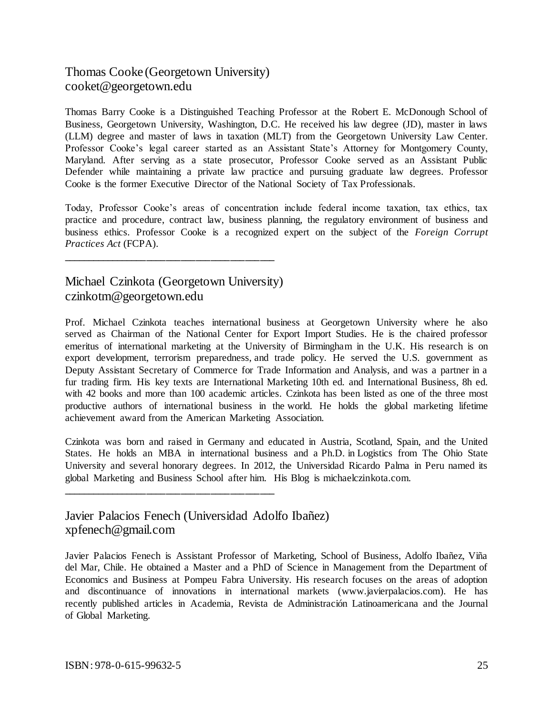### Thomas Cooke (Georgetown University) cooket@georgetown.edu

Thomas Barry Cooke is a Distinguished Teaching Professor at the Robert E. McDonough School of Business, Georgetown University, Washington, D.C. He received his law degree (JD), master in laws (LLM) degree and master of laws in taxation (MLT) from the Georgetown University Law Center. Professor Cooke's legal career started as an Assistant State's Attorney for Montgomery County, Maryland. After serving as a state prosecutor, Professor Cooke served as an Assistant Public Defender while maintaining a private law practice and pursuing graduate law degrees. Professor Cooke is the former Executive Director of the National Society of Tax Professionals.

Today, Professor Cooke's areas of concentration include federal income taxation, tax ethics, tax practice and procedure, contract law, business planning, the regulatory environment of business and business ethics. Professor Cooke is a recognized expert on the subject of the *Foreign Corrupt Practices Act* (FCPA).

Michael Czinkota (Georgetown University) czinkotm@georgetown.edu

\_\_\_\_\_\_\_\_\_\_\_\_\_\_\_\_\_\_\_\_\_\_\_\_\_\_\_\_\_\_\_\_\_\_\_\_\_\_\_\_\_\_\_

Prof. Michael Czinkota teaches international business at Georgetown University where he also served as Chairman of the National Center for Export Import Studies. He is the chaired professor emeritus of international marketing at the University of Birmingham in the U.K. His research is on export development, terrorism preparedness, and trade policy. He served the U.S. government as Deputy Assistant Secretary of Commerce for Trade Information and Analysis, and was a partner in a fur trading firm. His key texts are International Marketing 10th ed. and International Business, 8h ed. with 42 books and more than 100 academic articles. Czinkota has been listed as one of the three most productive authors of international business in the world. He holds the global marketing lifetime achievement award from the American Marketing Association.

Czinkota was born and raised in Germany and educated in Austria, Scotland, Spain, and the United States. He holds an MBA in international business and a Ph.D. in Logistics from The Ohio State University and several honorary degrees. In 2012, the Universidad Ricardo Palma in Peru named its global Marketing and Business School after him. His Blog is michaelczinkota.com.

Javier Palacios Fenech (Universidad Adolfo Ibañez) xpfenech@gmail.com

\_\_\_\_\_\_\_\_\_\_\_\_\_\_\_\_\_\_\_\_\_\_\_\_\_\_\_\_\_\_\_\_\_\_\_\_\_\_\_\_\_\_\_

Javier Palacios Fenech is Assistant Professor of Marketing, School of Business, Adolfo Ibañez, Viña del Mar, Chile. He obtained a Master and a PhD of Science in Management from the Department of Economics and Business at Pompeu Fabra University. His research focuses on the areas of adoption and discontinuance of innovations in international markets (www.javierpalacios.com). He has recently published articles in Academia, Revista de Administración Latinoamericana and the Journal of Global Marketing.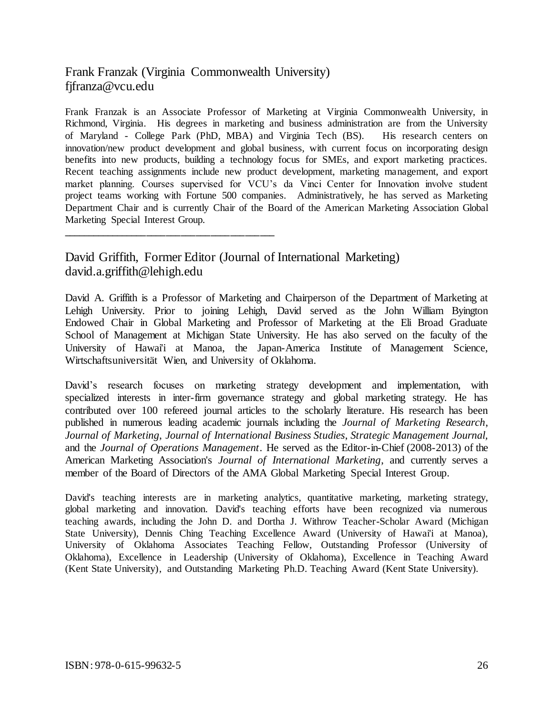# Frank Franzak (Virginia Commonwealth University) fjfranza@vcu.edu

\_\_\_\_\_\_\_\_\_\_\_\_\_\_\_\_\_\_\_\_\_\_\_\_\_\_\_\_\_\_\_\_\_\_\_\_\_\_\_\_\_\_\_

Frank Franzak is an Associate Professor of Marketing at Virginia Commonwealth University, in Richmond, Virginia. His degrees in marketing and business administration are from the University of Maryland - College Park (PhD, MBA) and Virginia Tech (BS). His research centers on innovation/new product development and global business, with current focus on incorporating design benefits into new products, building a technology focus for SMEs, and export marketing practices. Recent teaching assignments include new product development, marketing management, and export market planning. Courses supervised for VCU's da Vinci Center for Innovation involve student project teams working with Fortune 500 companies. Administratively, he has served as Marketing Department Chair and is currently Chair of the Board of the American Marketing Association Global Marketing Special Interest Group.

David Griffith, Former Editor (Journal of International Marketing) david.a.griffith@lehigh.edu

David A. Griffith is a Professor of Marketing and Chairperson of the Department of Marketing at Lehigh University. Prior to joining Lehigh, David served as the John William Byington Endowed Chair in Global Marketing and Professor of Marketing at the Eli Broad Graduate School of Management at Michigan State University. He has also served on the faculty of the University of Hawai'i at Manoa, the Japan-America Institute of Management Science, Wirtschaftsuniversität Wien, and University of Oklahoma.

David's research focuses on marketing strategy development and implementation, with specialized interests in inter-firm governance strategy and global marketing strategy. He has contributed over 100 refereed journal articles to the scholarly literature. His research has been published in numerous leading academic journals including the *Journal of Marketing Research*, *Journal of Marketing*, *Journal of International Business Studies*, *Strategic Management Journal,* and the *Journal of Operations Management*. He served as the Editor-in-Chief (2008-2013) of the American Marketing Association's *Journal of International Marketing*, and currently serves a member of the Board of Directors of the AMA Global Marketing Special Interest Group.

David's teaching interests are in marketing analytics, quantitative marketing, marketing strategy, global marketing and innovation. David's teaching efforts have been recognized via numerous teaching awards, including the John D. and Dortha J. Withrow Teacher-Scholar Award (Michigan State University), Dennis Ching Teaching Excellence Award (University of Hawai'i at Manoa), University of Oklahoma Associates Teaching Fellow, Outstanding Professor (University of Oklahoma), Excellence in Leadership (University of Oklahoma), Excellence in Teaching Award (Kent State University), and Outstanding Marketing Ph.D. Teaching Award (Kent State University).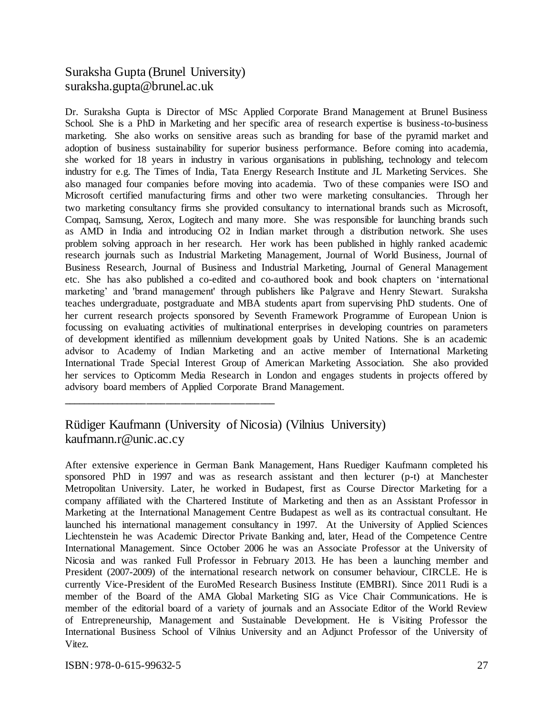## Suraksha Gupta (Brunel University) suraksha.gupta@brunel.ac.uk

Dr. Suraksha Gupta is Director of MSc Applied Corporate Brand Management at Brunel Business School. She is a PhD in Marketing and her specific area of research expertise is business-to-business marketing. She also works on sensitive areas such as branding for base of the pyramid market and adoption of business sustainability for superior business performance. Before coming into academia, she worked for 18 years in industry in various organisations in publishing, technology and telecom industry for e.g. The Times of India, Tata Energy Research Institute and JL Marketing Services. She also managed four companies before moving into academia. Two of these companies were ISO and Microsoft certified manufacturing firms and other two were marketing consultancies. Through her two marketing consultancy firms she provided consultancy to international brands such as Microsoft, Compaq, Samsung, Xerox, Logitech and many more. She was responsible for launching brands such as AMD in India and introducing O2 in Indian market through a distribution network. She uses problem solving approach in her research. Her work has been published in highly ranked academic research journals such as Industrial Marketing Management, Journal of World Business, Journal of Business Research, Journal of Business and Industrial Marketing, Journal of General Management etc. She has also published a co-edited and co-authored book and book chapters on 'international marketing' and 'brand management' through publishers like Palgrave and Henry Stewart. Suraksha teaches undergraduate, postgraduate and MBA students apart from supervising PhD students. One of her current research projects sponsored by Seventh Framework Programme of European Union is focussing on evaluating activities of multinational enterprises in developing countries on parameters of development identified as millennium development goals by United Nations. She is an academic advisor to Academy of Indian Marketing and an active member of International Marketing International Trade Special Interest Group of American Marketing Association. She also provided her services to Opticomm Media Research in London and engages students in projects offered by advisory board members of Applied Corporate Brand Management.

Rüdiger Kaufmann (University of Nicosia) (Vilnius University) kaufmann.r@unic.ac.cy

\_\_\_\_\_\_\_\_\_\_\_\_\_\_\_\_\_\_\_\_\_\_\_\_\_\_\_\_\_\_\_\_\_\_\_\_\_\_\_\_\_\_\_

After extensive experience in German Bank Management, Hans Ruediger Kaufmann completed his sponsored PhD in 1997 and was as research assistant and then lecturer (p-t) at Manchester Metropolitan University. Later, he worked in Budapest, first as Course Director Marketing for a company affiliated with the Chartered Institute of Marketing and then as an Assistant Professor in Marketing at the International Management Centre Budapest as well as its contractual consultant. He launched his international management consultancy in 1997. At the University of Applied Sciences Liechtenstein he was Academic Director Private Banking and, later, Head of the Competence Centre International Management. Since October 2006 he was an Associate Professor at the University of Nicosia and was ranked Full Professor in February 2013. He has been a launching member and President (2007-2009) of the international research network on consumer behaviour, CIRCLE. He is currently Vice-President of the EuroMed Research Business Institute (EMBRI). Since 2011 Rudi is a member of the Board of the AMA Global Marketing SIG as Vice Chair Communications. He is member of the editorial board of a variety of journals and an Associate Editor of the World Review of Entrepreneurship, Management and Sustainable Development. He is Visiting Professor the International Business School of Vilnius University and an Adjunct Professor of the University of Vitez.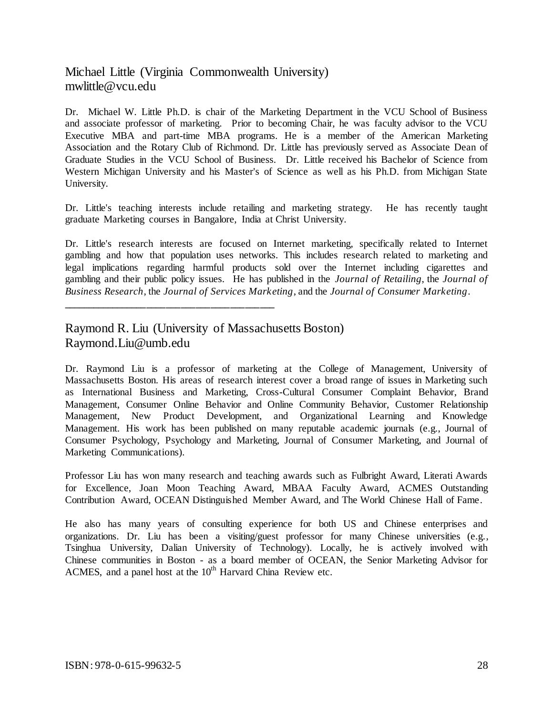#### Michael Little (Virginia Commonwealth University) mwlittle@vcu.edu

Dr. Michael W. Little Ph.D. is chair of the Marketing Department in the VCU School of Business and associate professor of marketing. Prior to becoming Chair, he was faculty advisor to the VCU Executive MBA and part-time MBA programs. He is a member of the American Marketing Association and the Rotary Club of Richmond. Dr. Little has previously served as Associate Dean of Graduate Studies in the VCU School of Business. Dr. Little received his Bachelor of Science from Western Michigan University and his Master's of Science as well as his Ph.D. from Michigan State University.

Dr. Little's teaching interests include retailing and marketing strategy. He has recently taught graduate Marketing courses in Bangalore, India at Christ University.

Dr. Little's research interests are focused on Internet marketing, specifically related to Internet gambling and how that population uses networks. This includes research related to marketing and legal implications regarding harmful products sold over the Internet including cigarettes and gambling and their public policy issues. He has published in the *Journal of Retailing*, the *Journal of Business Research*, the *Journal of Services Marketing*, and the *Journal of Consumer Marketing*.

## Raymond R. Liu (University of Massachusetts Boston) Raymond.Liu@umb.edu

\_\_\_\_\_\_\_\_\_\_\_\_\_\_\_\_\_\_\_\_\_\_\_\_\_\_\_\_\_\_\_\_\_\_\_\_\_\_\_\_\_\_\_

Dr. Raymond Liu is a professor of marketing at the College of Management, University of Massachusetts Boston. His areas of research interest cover a broad range of issues in Marketing such as International Business and Marketing, Cross-Cultural Consumer Complaint Behavior, Brand Management, Consumer Online Behavior and Online Community Behavior, Customer Relationship Management, New Product Development, and Organizational Learning and Knowledge Management. His work has been published on many reputable academic journals (e.g., Journal of Consumer Psychology, Psychology and Marketing, Journal of Consumer Marketing, and Journal of Marketing Communications).

Professor Liu has won many research and teaching awards such as Fulbright Award, Literati Awards for Excellence, Joan Moon Teaching Award, MBAA Faculty Award, ACMES Outstanding Contribution Award, OCEAN Distinguished Member Award, and The World Chinese Hall of Fame.

He also has many years of consulting experience for both US and Chinese enterprises and organizations. Dr. Liu has been a visiting/guest professor for many Chinese universities (e.g., Tsinghua University, Dalian University of Technology). Locally, he is actively involved with Chinese communities in Boston - as a board member of OCEAN, the Senior Marketing Advisor for ACMES, and a panel host at the  $10<sup>th</sup>$  Harvard China Review etc.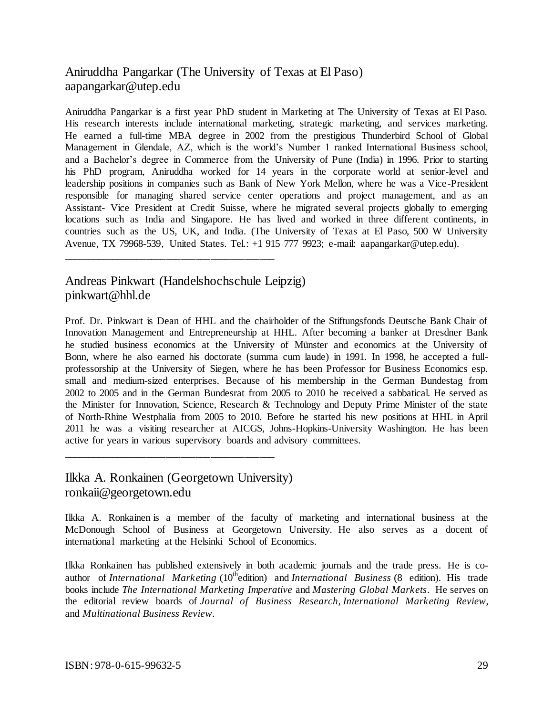# Aniruddha Pangarkar (The University of Texas at El Paso) aapangarkar@utep.edu

Aniruddha Pangarkar is a first year PhD student in Marketing at The University of Texas at El Paso. His research interests include international marketing, strategic marketing, and services marketing. He earned a full-time MBA degree in 2002 from the prestigious Thunderbird School of Global Management in Glendale, AZ, which is the world's Number 1 ranked International Business school, and a Bachelor's degree in Commerce from the University of Pune (India) in 1996. Prior to starting his PhD program, Aniruddha worked for 14 years in the corporate world at senior-level and leadership positions in companies such as Bank of New York Mellon, where he was a Vice-President responsible for managing shared service center operations and project management, and as an Assistant- Vice President at Credit Suisse, where he migrated several projects globally to emerging locations such as India and Singapore. He has lived and worked in three different continents, in countries such as the US, UK, and India. (The University of Texas at El Paso, 500 W University Avenue, TX 79968-539, United States. Tel.: +1 915 777 9923; e-mail: aapangarkar@utep.edu).

#### Andreas Pinkwart (Handelshochschule Leipzig) pinkwart@hhl.de

\_\_\_\_\_\_\_\_\_\_\_\_\_\_\_\_\_\_\_\_\_\_\_\_\_\_\_\_\_\_\_\_\_\_\_\_\_\_\_\_\_\_\_

Prof. Dr. Pinkwart is Dean of HHL and the chairholder of the Stiftungsfonds Deutsche Bank Chair of Innovation Management and Entrepreneurship at HHL. After becoming a banker at Dresdner Bank he studied business economics at the University of Münster and economics at the University of Bonn, where he also earned his doctorate (summa cum laude) in 1991. In 1998, he accepted a fullprofessorship at the University of Siegen, where he has been Professor for Business Economics esp. small and medium-sized enterprises. Because of his membership in the German Bundestag from 2002 to 2005 and in the German Bundesrat from 2005 to 2010 he received a sabbatical. He served as the Minister for Innovation, Science, Research & Technology and Deputy Prime Minister of the state of North-Rhine Westphalia from 2005 to 2010. Before he started his new positions at HHL in April 2011 he was a visiting researcher at AICGS, Johns-Hopkins-University Washington. He has been active for years in various supervisory boards and advisory committees.

### Ilkka A. Ronkainen (Georgetown University) ronkaii@georgetown.edu

\_\_\_\_\_\_\_\_\_\_\_\_\_\_\_\_\_\_\_\_\_\_\_\_\_\_\_\_\_\_\_\_\_\_\_\_\_\_\_\_\_\_\_

Ilkka A. Ronkainen is a member of the faculty of marketing and international business at the McDonough School of Business at Georgetown University. He also serves as a docent of international marketing at the Helsinki School of Economics.

Ilkka Ronkainen has published extensively in both academic journals and the trade press. He is coauthor of *International Marketing* (10<sup>th</sup>edition) and *International Business* (8 edition). His trade books include *The International Marketing Imperative* and *Mastering Global Markets*. He serves on the editorial review boards of *Journal of Business Research*, *International Marketing Review*, and *Multinational Business Review*.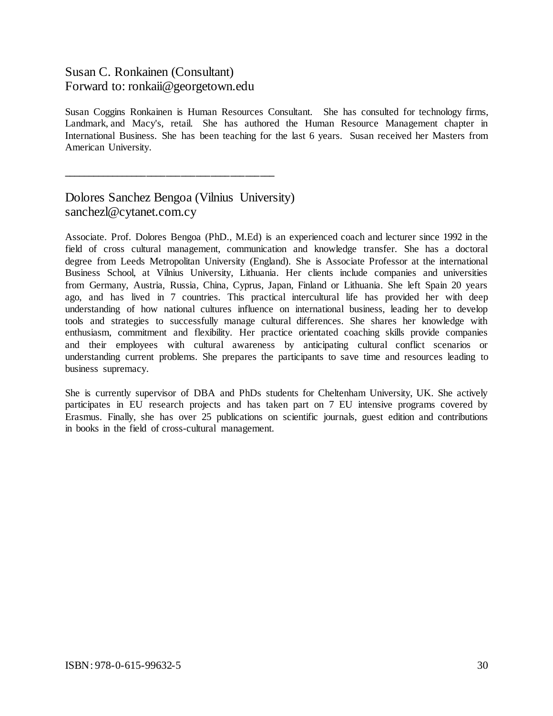### Susan C. Ronkainen (Consultant) Forward to: ronkaii@georgetown.edu

Susan Coggins Ronkainen is Human Resources Consultant. She has consulted for technology firms, Landmark, and Macy's, retail. She has authored the Human Resource Management chapter in International Business. She has been teaching for the last 6 years. Susan received her Masters from American University.

# Dolores Sanchez Bengoa (Vilnius University) sanchezl@cytanet.com.cy

\_\_\_\_\_\_\_\_\_\_\_\_\_\_\_\_\_\_\_\_\_\_\_\_\_\_\_\_\_\_\_\_\_\_\_\_\_\_\_\_\_\_\_

Associate. Prof. Dolores Bengoa (PhD., M.Ed) is an experienced coach and lecturer since 1992 in the field of cross cultural management, communication and knowledge transfer. She has a doctoral degree from Leeds Metropolitan University (England). She is Associate Professor at the international Business School, at Vilnius University, Lithuania. Her clients include companies and universities from Germany, Austria, Russia, China, Cyprus, Japan, Finland or Lithuania. She left Spain 20 years ago, and has lived in 7 countries. This practical intercultural life has provided her with deep understanding of how national cultures influence on international business, leading her to develop tools and strategies to successfully manage cultural differences. She shares her knowledge with enthusiasm, commitment and flexibility. Her practice orientated coaching skills provide companies and their employees with cultural awareness by anticipating cultural conflict scenarios or understanding current problems. She prepares the participants to save time and resources leading to business supremacy.

She is currently supervisor of DBA and PhDs students for Cheltenham University, UK. She actively participates in EU research projects and has taken part on 7 EU intensive programs covered by Erasmus. Finally, she has over 25 publications on scientific journals, guest edition and contributions in books in the field of cross-cultural management.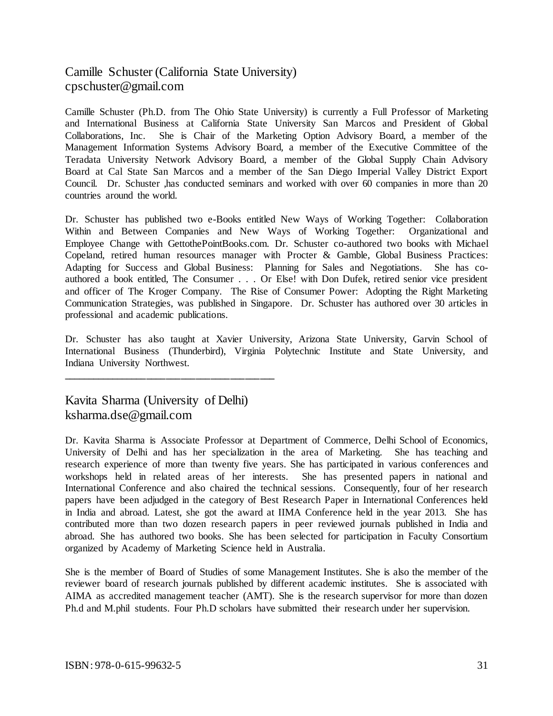### Camille Schuster (California State University) cpschuster@gmail.com

Camille Schuster (Ph.D. from The Ohio State University) is currently a Full Professor of Marketing and International Business at California State University San Marcos and President of Global Collaborations, Inc. She is Chair of the Marketing Option Advisory Board, a member of the Management Information Systems Advisory Board, a member of the Executive Committee of the Teradata University Network Advisory Board, a member of the Global Supply Chain Advisory Board at Cal State San Marcos and a member of the San Diego Imperial Valley District Export Council. Dr. Schuster ,has conducted seminars and worked with over 60 companies in more than 20 countries around the world.

Dr. Schuster has published two e-Books entitled New Ways of Working Together: Collaboration Within and Between Companies and New Ways of Working Together: Organizational and Employee Change with GettothePointBooks.com. Dr. Schuster co-authored two books with Michael Copeland, retired human resources manager with Procter & Gamble, Global Business Practices: Adapting for Success and Global Business: Planning for Sales and Negotiations. She has coauthored a book entitled, The Consumer . . . Or Else! with Don Dufek, retired senior vice president and officer of The Kroger Company. The Rise of Consumer Power: Adopting the Right Marketing Communication Strategies, was published in Singapore. Dr. Schuster has authored over 30 articles in professional and academic publications.

Dr. Schuster has also taught at Xavier University, Arizona State University, Garvin School of International Business (Thunderbird), Virginia Polytechnic Institute and State University, and Indiana University Northwest.

Kavita Sharma (University of Delhi) ksharma.dse@gmail.com

\_\_\_\_\_\_\_\_\_\_\_\_\_\_\_\_\_\_\_\_\_\_\_\_\_\_\_\_\_\_\_\_\_\_\_\_\_\_\_\_\_\_\_

Dr. Kavita Sharma is Associate Professor at Department of Commerce, Delhi School of Economics, University of Delhi and has her specialization in the area of Marketing. She has teaching and research experience of more than twenty five years. She has participated in various conferences and workshops held in related areas of her interests. She has presented papers in national and International Conference and also chaired the technical sessions. Consequently, four of her research papers have been adjudged in the category of Best Research Paper in International Conferences held in India and abroad. Latest, she got the award at IIMA Conference held in the year 2013. She has contributed more than two dozen research papers in peer reviewed journals published in India and abroad. She has authored two books. She has been selected for participation in Faculty Consortium organized by Academy of Marketing Science held in Australia.

She is the member of Board of Studies of some Management Institutes. She is also the member of the reviewer board of research journals published by different academic institutes. She is associated with AIMA as accredited management teacher (AMT). She is the research supervisor for more than dozen Ph.d and M.phil students. Four Ph.D scholars have submitted their research under her supervision.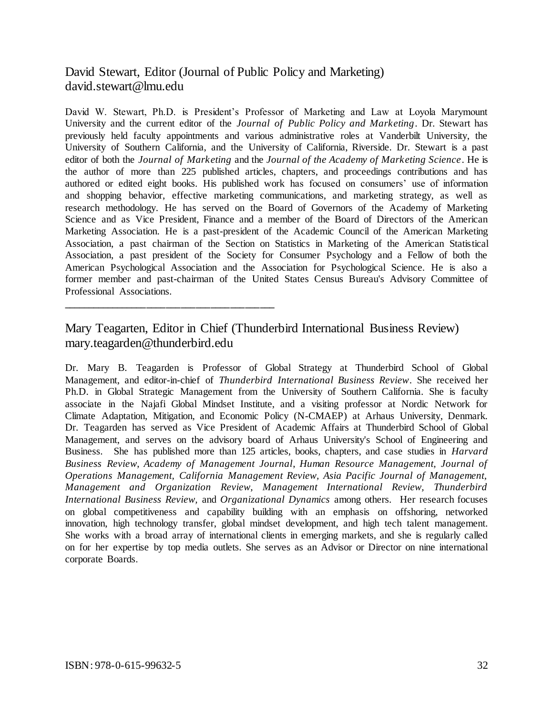# David Stewart, Editor (Journal of Public Policy and Marketing) david.stewart@lmu.edu

David W. Stewart, Ph.D. is President's Professor of Marketing and Law at Loyola Marymount University and the current editor of the *Journal of Public Policy and Marketing*. Dr. Stewart has previously held faculty appointments and various administrative roles at Vanderbilt University, the University of Southern California, and the University of California, Riverside. Dr. Stewart is a past editor of both the *Journal of Marketing* and the *Journal of the Academy of Marketing Science*. He is the author of more than 225 published articles, chapters, and proceedings contributions and has authored or edited eight books. His published work has focused on consumers' use of information and shopping behavior, effective marketing communications, and marketing strategy, as well as research methodology. He has served on the Board of Governors of the Academy of Marketing Science and as Vice President, Finance and a member of the Board of Directors of the American Marketing Association. He is a past-president of the Academic Council of the American Marketing Association, a past chairman of the Section on Statistics in Marketing of the American Statistical Association, a past president of the Society for Consumer Psychology and a Fellow of both the American Psychological Association and the Association for Psychological Science. He is also a former member and past-chairman of the United States Census Bureau's Advisory Committee of Professional Associations.

# Mary Teagarten, Editor in Chief (Thunderbird International Business Review) mary.teagarden@thunderbird.edu

\_\_\_\_\_\_\_\_\_\_\_\_\_\_\_\_\_\_\_\_\_\_\_\_\_\_\_\_\_\_\_\_\_\_\_\_\_\_\_\_\_\_\_

Dr. Mary B. Teagarden is Professor of Global Strategy at Thunderbird School of Global Management, and editor-in-chief of *Thunderbird International Business Review*. She received her Ph.D. in Global Strategic Management from the University of Southern California. She is faculty associate in the Najafi Global Mindset Institute, and a visiting professor at Nordic Network for Climate Adaptation, Mitigation, and Economic Policy (N-CMAEP) at Arhaus University, Denmark. Dr. Teagarden has served as Vice President of Academic Affairs at Thunderbird School of Global Management, and serves on the advisory board of Arhaus University's School of Engineering and Business. She has published more than 125 articles, books, chapters, and case studies in *Harvard Business Review*, *Academy of Management Journal*, *Human Resource Management, Journal of Operations Management, California Management Review, Asia Pacific Journal of Management, Management and Organization Review, Management International Review, Thunderbird International Business Review,* and *Organizational Dynamics* among others. Her research focuses on global competitiveness and capability building with an emphasis on offshoring, networked innovation, high technology transfer, global mindset development, and high tech talent management. She works with a broad array of international clients in emerging markets, and she is regularly called on for her expertise by top media outlets. She serves as an Advisor or Director on nine international corporate Boards.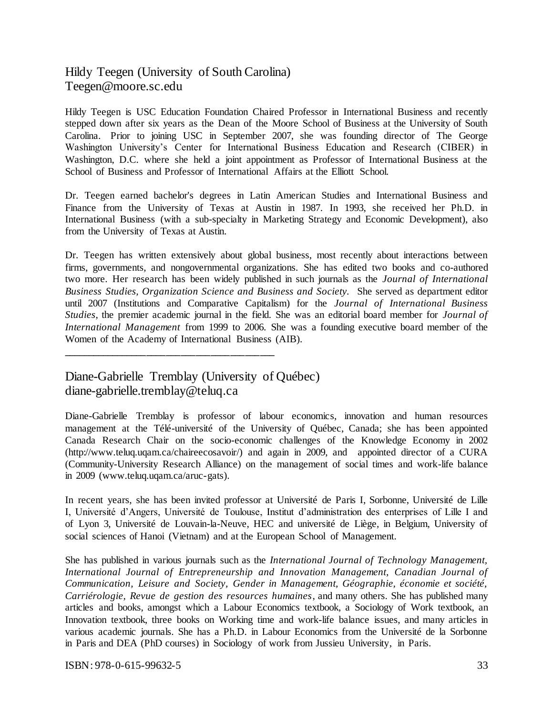### Hildy Teegen (University of South Carolina) Teegen@moore.sc.edu

Hildy Teegen is USC Education Foundation Chaired Professor in International Business and recently stepped down after six years as the Dean of the Moore School of Business at the University of South Carolina. Prior to joining USC in September 2007, she was founding director of The George Washington University's Center for International Business Education and Research (CIBER) in Washington, D.C. where she held a joint appointment as Professor of International Business at the School of Business and Professor of International Affairs at the Elliott School.

Dr. Teegen earned bachelor's degrees in Latin American Studies and International Business and Finance from the University of Texas at Austin in 1987. In 1993, she received her Ph.D. in International Business (with a sub-specialty in Marketing Strategy and Economic Development), also from the University of Texas at Austin.

Dr. Teegen has written extensively about global business, most recently about interactions between firms, governments, and nongovernmental organizations. She has edited two books and co-authored two more. Her research has been widely published in such journals as the *Journal of International Business Studies, Organization Science and Business and Society.* She served as department editor until 2007 (Institutions and Comparative Capitalism) for the *Journal of International Business Studies*, the premier academic journal in the field. She was an editorial board member for *Journal of International Management* from 1999 to 2006. She was a founding executive board member of the Women of the Academy of International Business (AIB).

Diane-Gabrielle Tremblay (University of Québec) diane-gabrielle.tremblay@teluq.ca

\_\_\_\_\_\_\_\_\_\_\_\_\_\_\_\_\_\_\_\_\_\_\_\_\_\_\_\_\_\_\_\_\_\_\_\_\_\_\_\_\_\_\_

Diane-Gabrielle Tremblay is professor of labour economics, innovation and human resources management at the Télé-université of the University of Québec, Canada; she has been appointed Canada Research Chair on the socio-economic challenges of the Knowledge Economy in 2002 (http://www.teluq.uqam.ca/chaireecosavoir/) and again in 2009, and appointed director of a CURA (Community-University Research Alliance) on the management of social times and work-life balance in 2009 (www.teluq.uqam.ca/aruc-gats).

In recent years, she has been invited professor at Université de Paris I, Sorbonne, Université de Lille I, Université d'Angers, Université de Toulouse, Institut d'administration des enterprises of Lille I and of Lyon 3, Université de Louvain-la-Neuve, HEC and université de Liège, in Belgium, University of social sciences of Hanoi (Vietnam) and at the European School of Management.

She has published in various journals such as the *International Journal of Technology Management, International Journal of Entrepreneurship and Innovation Management, Canadian Journal of Communication, Leisure and Society, Gender in Management, Géographie, économie et société, Carriérologie, Revue de gestion des resources humaines*, and many others. She has published many articles and books, amongst which a Labour Economics textbook, a Sociology of Work textbook, an Innovation textbook, three books on Working time and work-life balance issues, and many articles in various academic journals. She has a Ph.D. in Labour Economics from the Université de la Sorbonne in Paris and DEA (PhD courses) in Sociology of work from Jussieu University, in Paris.